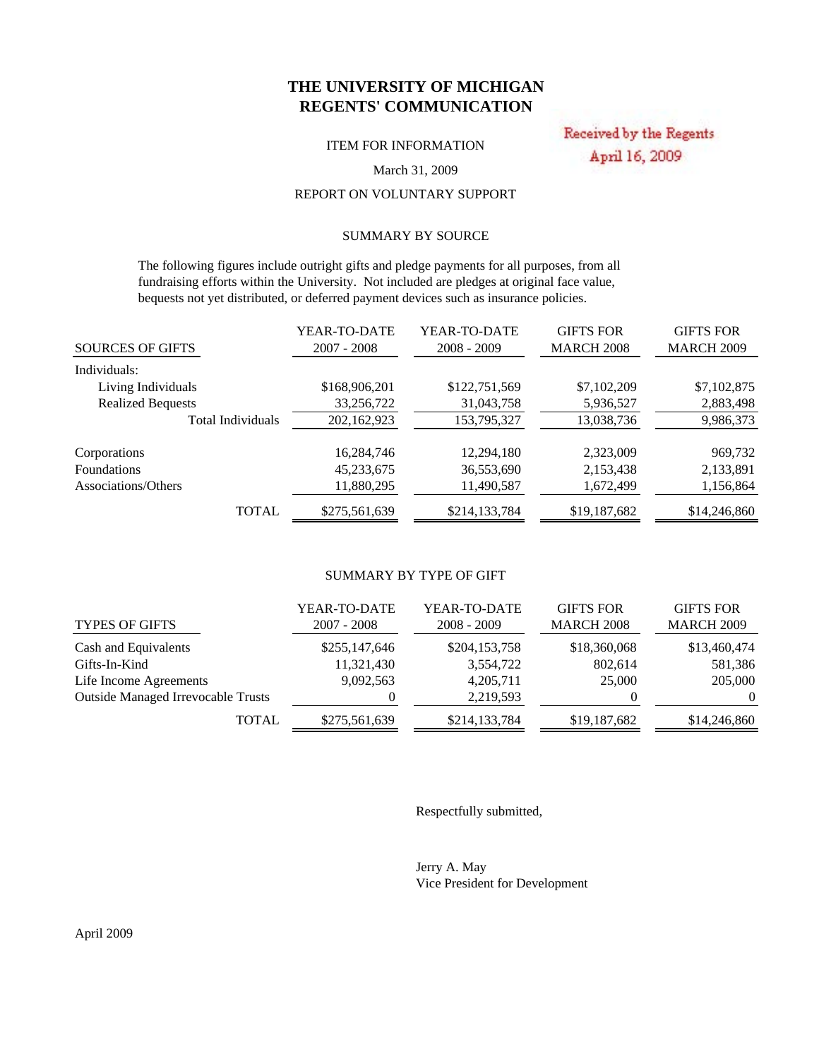## **THE UNIVERSITY OF MICHIGAN REGENTS' COMMUNICATION**

ITEM FOR INFORMATION

Received by the Regents April 16, 2009

### March 31, 2009

## REPORT ON VOLUNTARY SUPPORT

## SUMMARY BY SOURCE

 The following figures include outright gifts and pledge payments for all purposes, from all fundraising efforts within the University. Not included are pledges at original face value, bequests not yet distributed, or deferred payment devices such as insurance policies.

|                          | YEAR-TO-DATE  | YEAR-TO-DATE  | <b>GIFTS FOR</b>  | <b>GIFTS FOR</b>  |
|--------------------------|---------------|---------------|-------------------|-------------------|
| <b>SOURCES OF GIFTS</b>  | $2007 - 2008$ | $2008 - 2009$ | <b>MARCH 2008</b> | <b>MARCH 2009</b> |
| Individuals:             |               |               |                   |                   |
| Living Individuals       | \$168,906,201 | \$122,751,569 | \$7,102,209       | \$7,102,875       |
| <b>Realized Bequests</b> | 33,256,722    | 31,043,758    | 5,936,527         | 2,883,498         |
| Total Individuals        | 202,162,923   | 153,795,327   | 13,038,736        | 9,986,373         |
| Corporations             | 16,284,746    | 12,294,180    | 2,323,009         | 969,732           |
| <b>Foundations</b>       | 45,233,675    | 36,553,690    | 2,153,438         | 2,133,891         |
| Associations/Others      | 11,880,295    | 11,490,587    | 1,672,499         | 1,156,864         |
| <b>TOTAL</b>             | \$275,561,639 | \$214,133,784 | \$19,187,682      | \$14,246,860      |

### SUMMARY BY TYPE OF GIFT

| <b>TYPES OF GIFTS</b>                     | YEAR-TO-DATE<br>$2007 - 2008$ | YEAR-TO-DATE<br>$2008 - 2009$ | <b>GIFTS FOR</b><br><b>MARCH 2008</b> | <b>GIFTS FOR</b><br><b>MARCH 2009</b> |
|-------------------------------------------|-------------------------------|-------------------------------|---------------------------------------|---------------------------------------|
| Cash and Equivalents                      | \$255,147,646                 | \$204,153,758                 | \$18,360,068                          | \$13,460,474                          |
| Gifts-In-Kind                             | 11,321,430                    | 3,554,722                     | 802,614                               | 581,386                               |
| Life Income Agreements                    | 9,092,563                     | 4,205,711                     | 25,000                                | 205,000                               |
| <b>Outside Managed Irrevocable Trusts</b> |                               | 2.219.593                     |                                       | $\Omega$                              |
| <b>TOTAL</b>                              | \$275,561,639                 | \$214,133,784                 | \$19,187,682                          | \$14,246,860                          |

Respectfully submitted,

Jerry A. May Vice President for Development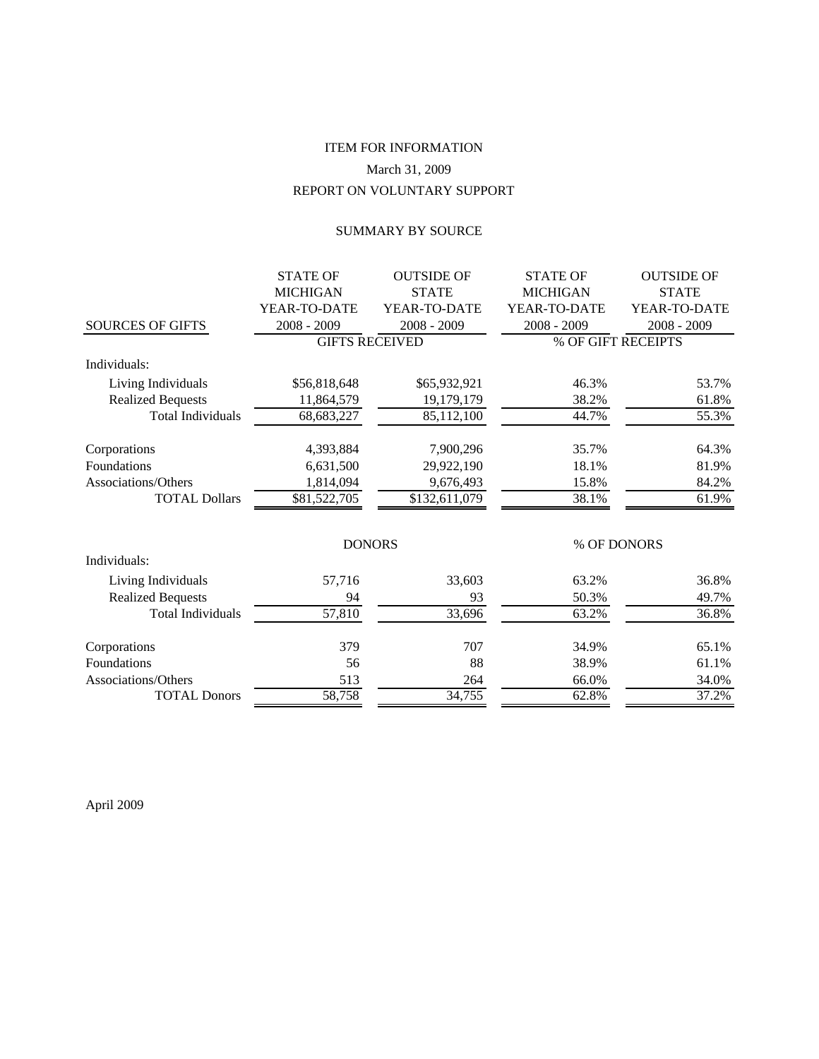# REPORT ON VOLUNTARY SUPPORT ITEM FOR INFORMATION March 31, 2009

## SUMMARY BY SOURCE

|                          | <b>STATE OF</b>       | <b>OUTSIDE OF</b> | <b>STATE OF</b> | <b>OUTSIDE OF</b>  |
|--------------------------|-----------------------|-------------------|-----------------|--------------------|
|                          | <b>MICHIGAN</b>       | <b>STATE</b>      | <b>MICHIGAN</b> | <b>STATE</b>       |
|                          | YEAR-TO-DATE          | YEAR-TO-DATE      | YEAR-TO-DATE    | YEAR-TO-DATE       |
| <b>SOURCES OF GIFTS</b>  | 2008 - 2009           | $2008 - 2009$     | $2008 - 2009$   | $2008 - 2009$      |
|                          | <b>GIFTS RECEIVED</b> |                   |                 | % OF GIFT RECEIPTS |
| Individuals:             |                       |                   |                 |                    |
| Living Individuals       | \$56,818,648          | \$65,932,921      | 46.3%           | 53.7%              |
| <b>Realized Bequests</b> | 11,864,579            | 19,179,179        | 38.2%           | 61.8%              |
| <b>Total Individuals</b> | 68, 683, 227          | 85,112,100        | 44.7%           | 55.3%              |
| Corporations             | 4,393,884             | 7,900,296         | 35.7%           | 64.3%              |
| Foundations              | 6,631,500             | 29,922,190        | 18.1%           | 81.9%              |
| Associations/Others      | 1,814,094             | 9,676,493         | 15.8%           | 84.2%              |
| <b>TOTAL Dollars</b>     | \$81,522,705          | \$132,611,079     | 38.1%           | 61.9%              |
|                          | <b>DONORS</b>         |                   |                 | % OF DONORS        |
| Individuals:             |                       |                   |                 |                    |
| Living Individuals       | 57,716                | 33,603            | 63.2%           | 36.8%              |
| <b>Realized Bequests</b> | 94                    | 93                | 50.3%           | 49.7%              |
| <b>Total Individuals</b> | 57,810                | 33,696            | 63.2%           | 36.8%              |
| Corporations             | 379                   | 707               | 34.9%           | 65.1%              |
| Foundations              | 56                    | 88                | 38.9%           | 61.1%              |
| Associations/Others      | 513                   | 264               | 66.0%           | 34.0%              |
| <b>TOTAL Donors</b>      | 58,758                | 34,755            | 62.8%           | 37.2%              |

April 2009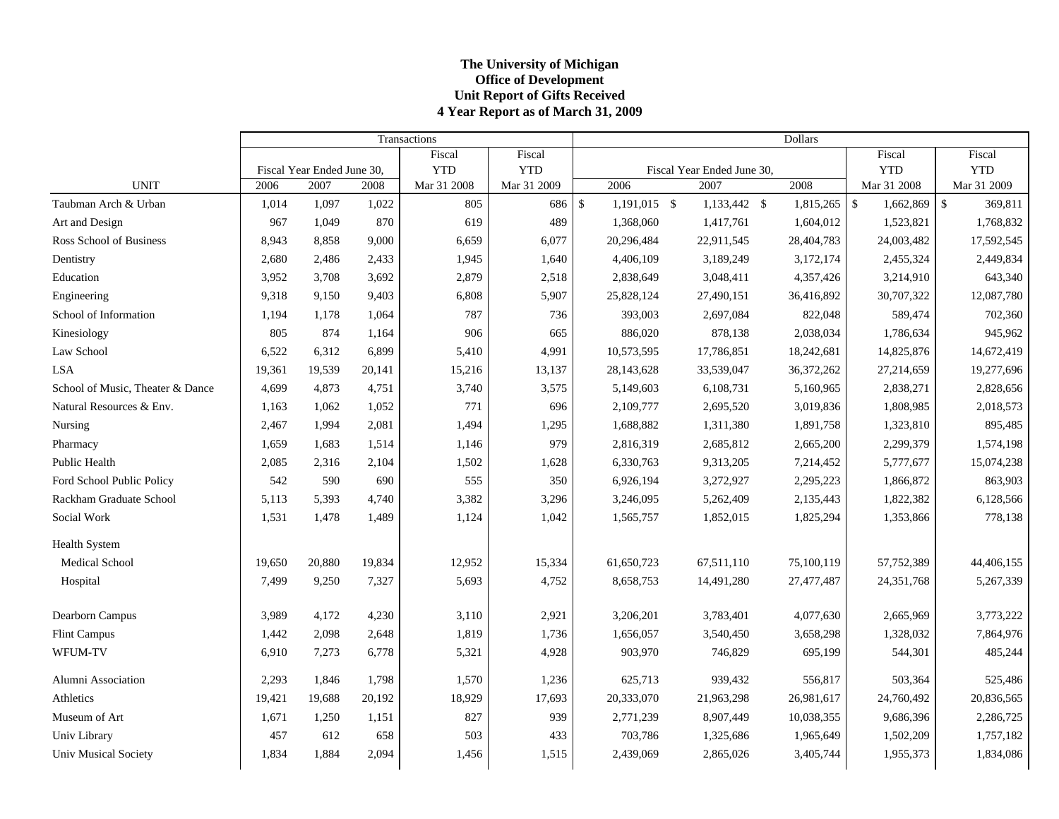## **The Universit y of Michi gan Office of Development Unit Report of Gifts Received 4 Year Report as of March 31, 2009**

|                                  |        |                            | Transactions | Dollars     |             |               |                |  |                            |  |            |                                 |                               |
|----------------------------------|--------|----------------------------|--------------|-------------|-------------|---------------|----------------|--|----------------------------|--|------------|---------------------------------|-------------------------------|
|                                  |        |                            |              | Fiscal      | Fiscal      |               |                |  |                            |  |            | Fiscal                          | Fiscal                        |
|                                  |        | Fiscal Year Ended June 30, |              | <b>YTD</b>  | <b>YTD</b>  |               |                |  | Fiscal Year Ended June 30, |  |            | <b>YTD</b>                      | <b>YTD</b>                    |
| <b>UNIT</b>                      | 2006   | 2007                       | 2008         | Mar 31 2008 | Mar 31 2009 |               | 2006           |  | 2007                       |  | 2008       | Mar 31 2008                     | Mar 31 2009                   |
| Taubman Arch & Urban             | 1,014  | 1,097                      | 1,022        | 805         | 686         | $\mathsf{\$}$ | $1,191,015$ \$ |  | 1,133,442 \$               |  | 1,815,265  | $\mathbf{\hat{s}}$<br>1,662,869 | $\mathbf{\hat{S}}$<br>369,811 |
| Art and Design                   | 967    | 1,049                      | 870          | 619         | 489         |               | 1,368,060      |  | 1,417,761                  |  | 1,604,012  | 1,523,821                       | 1,768,832                     |
| Ross School of Business          | 8,943  | 8,858                      | 9,000        | 6,659       | 6,077       |               | 20,296,484     |  | 22,911,545                 |  | 28,404,783 | 24,003,482                      | 17,592,545                    |
| Dentistry                        | 2,680  | 2,486                      | 2,433        | 1,945       | 1,640       |               | 4,406,109      |  | 3,189,249                  |  | 3,172,174  | 2,455,324                       | 2,449,834                     |
| Education                        | 3,952  | 3,708                      | 3,692        | 2,879       | 2,518       |               | 2,838,649      |  | 3,048,411                  |  | 4,357,426  | 3,214,910                       | 643,340                       |
| Engineering                      | 9,318  | 9,150                      | 9,403        | 6,808       | 5,907       |               | 25,828,124     |  | 27,490,151                 |  | 36,416,892 | 30,707,322                      | 12,087,780                    |
| School of Information            | 1,194  | 1,178                      | 1,064        | 787         | 736         |               | 393,003        |  | 2,697,084                  |  | 822,048    | 589,474                         | 702,360                       |
| Kinesiology                      | 805    | 874                        | 1,164        | 906         | 665         |               | 886,020        |  | 878,138                    |  | 2,038,034  | 1,786,634                       | 945,962                       |
| Law School                       | 6,522  | 6,312                      | 6,899        | 5,410       | 4,991       |               | 10,573,595     |  | 17,786,851                 |  | 18,242,681 | 14,825,876                      | 14,672,419                    |
| <b>LSA</b>                       | 19,361 | 19,539                     | 20,141       | 15,216      | 13,137      |               | 28,143,628     |  | 33,539,047                 |  | 36,372,262 | 27,214,659                      | 19,277,696                    |
| School of Music, Theater & Dance | 4,699  | 4,873                      | 4,751        | 3,740       | 3,575       |               | 5,149,603      |  | 6,108,731                  |  | 5,160,965  | 2,838,271                       | 2,828,656                     |
| Natural Resources & Env.         | 1,163  | 1,062                      | 1,052        | 771         | 696         |               | 2,109,777      |  | 2,695,520                  |  | 3,019,836  | 1,808,985                       | 2,018,573                     |
| Nursing                          | 2,467  | 1,994                      | 2,081        | 1,494       | 1,295       |               | 1,688,882      |  | 1,311,380                  |  | 1,891,758  | 1,323,810                       | 895,485                       |
| Pharmacy                         | 1,659  | 1,683                      | 1,514        | 1,146       | 979         |               | 2,816,319      |  | 2,685,812                  |  | 2,665,200  | 2,299,379                       | 1,574,198                     |
| Public Health                    | 2,085  | 2,316                      | 2,104        | 1,502       | 1,628       |               | 6,330,763      |  | 9,313,205                  |  | 7,214,452  | 5,777,677                       | 15,074,238                    |
| Ford School Public Policy        | 542    | 590                        | 690          | 555         | 350         |               | 6,926,194      |  | 3,272,927                  |  | 2,295,223  | 1,866,872                       | 863,903                       |
| Rackham Graduate School          | 5,113  | 5,393                      | 4,740        | 3,382       | 3,296       |               | 3,246,095      |  | 5,262,409                  |  | 2,135,443  | 1,822,382                       | 6,128,566                     |
| Social Work                      | 1,531  | 1,478                      | 1,489        | 1,124       | 1,042       |               | 1,565,757      |  | 1,852,015                  |  | 1,825,294  | 1,353,866                       | 778,138                       |
| <b>Health System</b>             |        |                            |              |             |             |               |                |  |                            |  |            |                                 |                               |
| Medical School                   | 19,650 | 20,880                     | 19,834       | 12,952      | 15,334      |               | 61,650,723     |  | 67,511,110                 |  | 75,100,119 | 57,752,389                      | 44,406,155                    |
| Hospital                         | 7,499  | 9,250                      | 7,327        | 5,693       | 4,752       |               | 8,658,753      |  | 14,491,280                 |  | 27,477,487 | 24, 351, 768                    | 5,267,339                     |
| Dearborn Campus                  | 3,989  | 4,172                      | 4,230        | 3,110       | 2,921       |               | 3,206,201      |  | 3,783,401                  |  | 4,077,630  | 2,665,969                       | 3,773,222                     |
| <b>Flint Campus</b>              | 1,442  | 2,098                      | 2,648        | 1,819       | 1,736       |               | 1,656,057      |  | 3,540,450                  |  | 3,658,298  | 1,328,032                       | 7,864,976                     |
| WFUM-TV                          | 6,910  | 7,273                      | 6,778        | 5,321       | 4,928       |               | 903,970        |  | 746,829                    |  | 695,199    | 544,301                         | 485,244                       |
| Alumni Association               | 2,293  | 1,846                      | 1,798        | 1,570       | 1,236       |               | 625,713        |  | 939,432                    |  | 556,817    | 503,364                         | 525,486                       |
| Athletics                        | 19,421 | 19,688                     | 20,192       | 18,929      | 17,693      |               | 20,333,070     |  | 21,963,298                 |  | 26,981,617 | 24,760,492                      | 20,836,565                    |
| Museum of Art                    | 1,671  | 1,250                      | 1,151        | 827         | 939         |               | 2,771,239      |  | 8,907,449                  |  | 10,038,355 | 9,686,396                       | 2,286,725                     |
| Univ Library                     | 457    | 612                        | 658          | 503         | 433         |               | 703,786        |  | 1,325,686                  |  | 1,965,649  | 1,502,209                       | 1,757,182                     |
| <b>Univ Musical Society</b>      | 1,834  | 1,884                      | 2,094        | 1,456       | 1,515       |               | 2,439,069      |  | 2,865,026                  |  | 3,405,744  | 1,955,373                       | 1,834,086                     |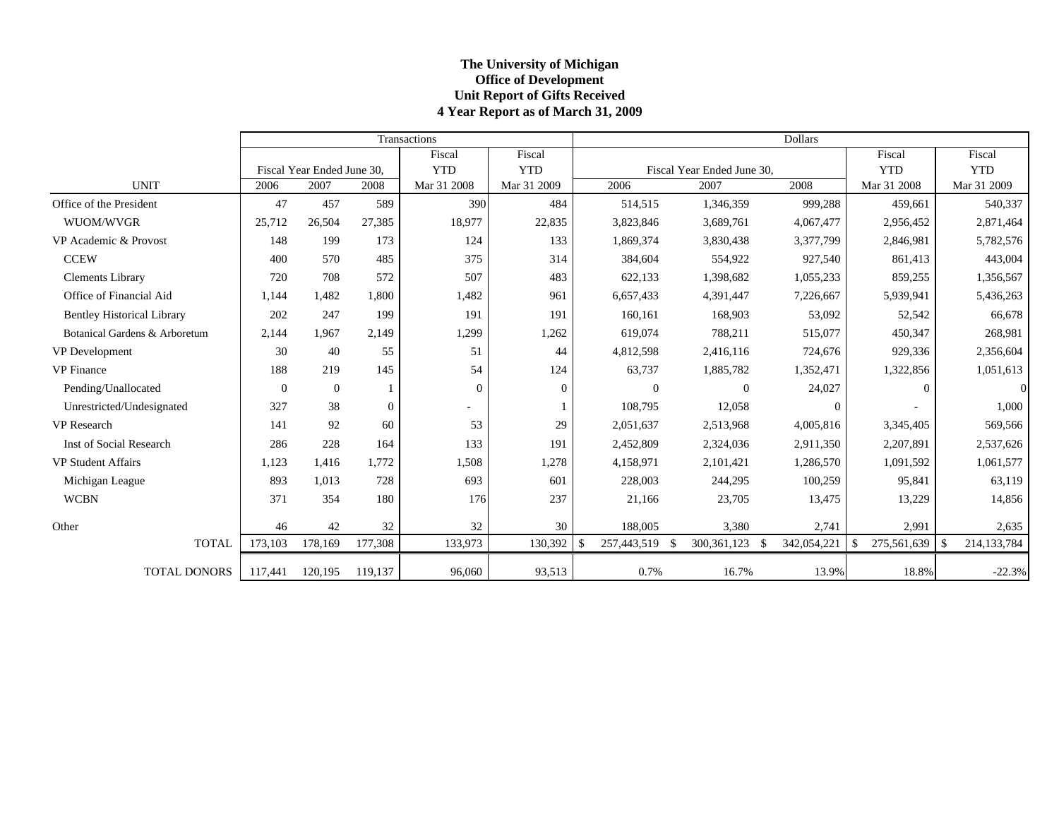## **The Universit y of Michi gan Office of Development Unit Report of Gifts Received 4 Year Report as of March 31, 2009**

|                                   |                |                            |                  | Transactions |             |                    |                            | <b>Dollars</b> |                              |                                   |
|-----------------------------------|----------------|----------------------------|------------------|--------------|-------------|--------------------|----------------------------|----------------|------------------------------|-----------------------------------|
|                                   |                |                            |                  | Fiscal       | Fiscal      |                    |                            |                | Fiscal                       | Fiscal                            |
|                                   |                | Fiscal Year Ended June 30. |                  | <b>YTD</b>   | <b>YTD</b>  |                    | Fiscal Year Ended June 30, |                | <b>YTD</b>                   | <b>YTD</b>                        |
| <b>UNIT</b>                       | 2006           | 2007                       | 2008             | Mar 31 2008  | Mar 31 2009 | 2006               | 2007                       | 2008           | Mar 31 2008                  | Mar 31 2009                       |
| Office of the President           | 47             | 457                        | 589              | 390          | 484         | 514,515            | 1,346,359                  | 999,288        | 459,661                      | 540,337                           |
| WUOM/WVGR                         | 25,712         | 26,504                     | 27,385           | 18,977       | 22,835      | 3,823,846          | 3,689,761                  | 4,067,477      | 2,956,452                    | 2,871,464                         |
| VP Academic & Provost             | 148            | 199                        | 173              | 124          | 133         | 1,869,374          | 3,830,438                  | 3,377,799      | 2,846,981                    | 5,782,576                         |
| <b>CCEW</b>                       | 400            | 570                        | 485              | 375          | 314         | 384,604            | 554,922                    | 927,540        | 861,413                      | 443,004                           |
| <b>Clements Library</b>           | 720            | 708                        | 572              | 507          | 483         | 622,133            | 1,398,682                  | 1,055,233      | 859,255                      | 1,356,567                         |
| Office of Financial Aid           | 1,144          | 1,482                      | 1,800            | 1,482        | 961         | 6,657,433          | 4,391,447                  | 7,226,667      | 5,939,941                    | 5,436,263                         |
| <b>Bentley Historical Library</b> | 202            | 247                        | 199              | 191          | 191         | 160,161            | 168,903                    | 53,092         | 52,542                       | 66,678                            |
| Botanical Gardens & Arboretum     | 2,144          | 1.967                      | 2,149            | 1,299        | 1,262       | 619,074            | 788,211                    | 515,077        | 450,347                      | 268,981                           |
| VP Development                    | 30             | 40                         | 55               | 51           | 44          | 4,812,598          | 2,416,116                  | 724,676        | 929,336                      | 2,356,604                         |
| <b>VP</b> Finance                 | 188            | 219                        | 145              | 54           | 124         | 63,737             | 1,885,782                  | 1,352,471      | 1,322,856                    | 1,051,613                         |
| Pending/Unallocated               | $\overline{0}$ | $\boldsymbol{0}$           |                  | $\Omega$     | $\Omega$    | $\Omega$           | $\overline{0}$             | 24,027         | $\Omega$                     | $\Omega$                          |
| Unrestricted/Undesignated         | 327            | 38                         | $\boldsymbol{0}$ |              |             | 108,795            | 12,058                     | $\overline{0}$ |                              | 1,000                             |
| <b>VP</b> Research                | 141            | 92                         | 60               | 53           | 29          | 2,051,637          | 2,513,968                  | 4,005,816      | 3,345,405                    | 569,566                           |
| <b>Inst of Social Research</b>    | 286            | 228                        | 164              | 133          | 191         | 2,452,809          | 2,324,036                  | 2,911,350      | 2,207,891                    | 2,537,626                         |
| <b>VP Student Affairs</b>         | 1,123          | 1,416                      | 1,772            | 1,508        | 1,278       | 4,158,971          | 2,101,421                  | 1,286,570      | 1,091,592                    | 1,061,577                         |
| Michigan League                   | 893            | 1,013                      | 728              | 693          | 601         | 228,003            | 244,295                    | 100,259        | 95,841                       | 63,119                            |
| <b>WCBN</b>                       | 371            | 354                        | 180              | 176          | 237         | 21,166             | 23,705                     | 13,475         | 13,229                       | 14,856                            |
| Other                             | 46             | 42                         | 32               | 32           | 30          | 188,005            | 3,380                      | 2,741          | 2,991                        | 2,635                             |
| <b>TOTAL</b>                      | 173,103        | 178,169                    | 177,308          | 133,973      | 130,392     | 257,443,519<br>-\$ | 300, 361, 123<br>- \$      | 342,054,221    | $\mathcal{S}$<br>275,561,639 | $\mathbf{\hat{S}}$<br>214,133,784 |
| <b>TOTAL DONORS</b>               | 117,441        | 120,195                    | 119,137          | 96,060       | 93,513      | 0.7%               | 16.7%                      | 13.9%          | 18.8%                        | $-22.3%$                          |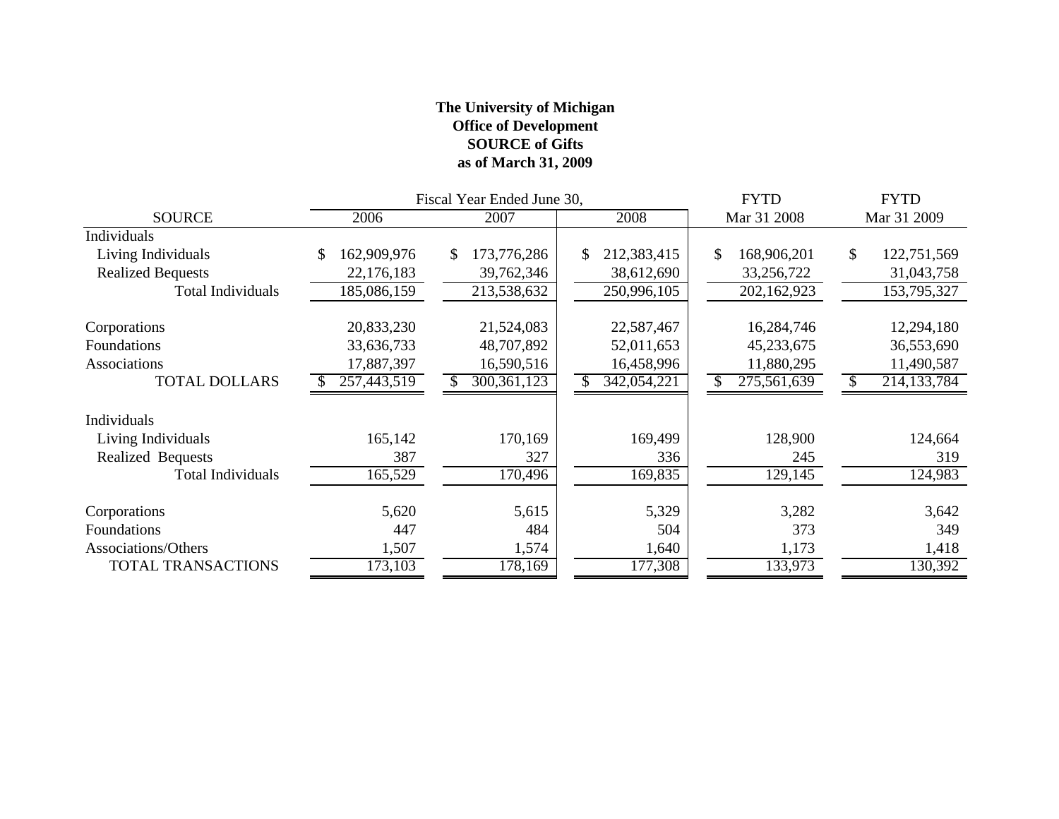## **The University of Michigan Office of Development SOURCE of Gifts as of March 31, 2009**

|                          |                   | Fiscal Year Ended June 30, |                   | <b>FYTD</b>       | <b>FYTD</b>       |  |
|--------------------------|-------------------|----------------------------|-------------------|-------------------|-------------------|--|
| <b>SOURCE</b>            | 2006              | 2007                       | 2008              | Mar 31 2008       | Mar 31 2009       |  |
| Individuals              |                   |                            |                   |                   |                   |  |
| Living Individuals       | 162,909,976<br>\$ | 173,776,286<br>\$          | 212,383,415<br>\$ | \$<br>168,906,201 | 122,751,569<br>\$ |  |
| <b>Realized Bequests</b> | 22,176,183        | 39,762,346                 | 38,612,690        | 33,256,722        | 31,043,758        |  |
| <b>Total Individuals</b> | 185,086,159       | 213,538,632                | 250,996,105       | 202,162,923       | 153,795,327       |  |
| Corporations             | 20,833,230        | 21,524,083                 | 22,587,467        | 16,284,746        | 12,294,180        |  |
| Foundations              | 33,636,733        | 48,707,892                 | 52,011,653        | 45,233,675        | 36,553,690        |  |
| Associations             | 17,887,397        | 16,590,516                 | 16,458,996        | 11,880,295        | 11,490,587        |  |
| <b>TOTAL DOLLARS</b>     | 257,443,519       | 300, 361, 123              | 342,054,221       | 275,561,639       | 214, 133, 784     |  |
| Individuals              |                   |                            |                   |                   |                   |  |
| Living Individuals       | 165,142           | 170,169                    | 169,499           | 128,900           | 124,664           |  |
| Realized Bequests        | 387               | 327                        | 336               | 245               | 319               |  |
| <b>Total Individuals</b> | 165,529           | 170,496                    | 169,835           | 129,145           | 124,983           |  |
| Corporations             | 5,620             | 5,615                      | 5,329             | 3,282             | 3,642             |  |
| Foundations              | 447               | 484                        | 504               | 373               | 349               |  |
| Associations/Others      | 1,507             | 1,574                      | 1,640             | 1,173             | 1,418             |  |
| TOTAL TRANSACTIONS       | 173,103           | 178,169                    | 177,308           | 133,973           | 130,392           |  |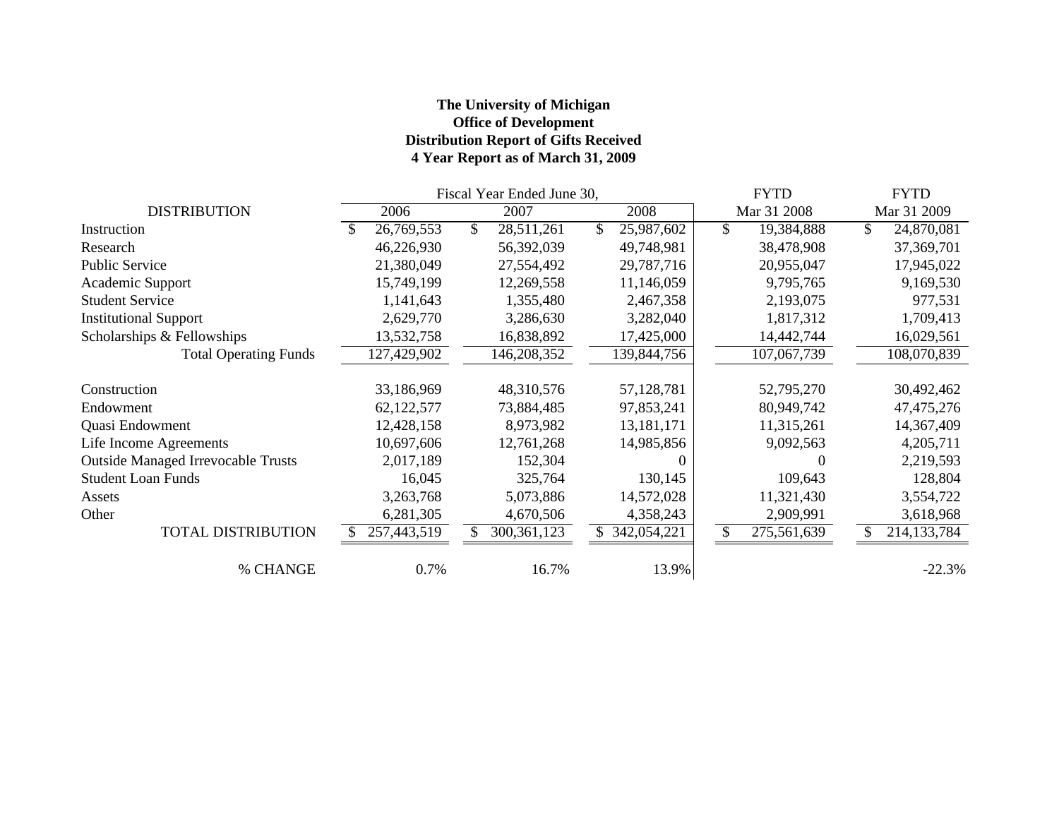## **The University of Michigan Office of Development Distribution Report of Gifts Received 4 Year Report as of March 31, 2009**

|                                           | Fiscal Year Ended June 30, |             |    |               |  |             |              | <b>FYTD</b> | <b>FYTD</b> |               |
|-------------------------------------------|----------------------------|-------------|----|---------------|--|-------------|--------------|-------------|-------------|---------------|
| <b>DISTRIBUTION</b>                       |                            | 2006        |    | 2007          |  | 2008        |              | Mar 31 2008 |             | Mar 31 2009   |
| Instruction                               |                            | 26,769,553  | \$ | 28,511,261    |  | 25,987,602  | $\mathbb{S}$ | 19,384,888  | \$          | 24,870,081    |
| Research                                  |                            | 46,226,930  |    | 56,392,039    |  | 49,748,981  |              | 38,478,908  |             | 37,369,701    |
| <b>Public Service</b>                     |                            | 21,380,049  |    | 27,554,492    |  | 29,787,716  |              | 20,955,047  |             | 17,945,022    |
| Academic Support                          |                            | 15,749,199  |    | 12,269,558    |  | 11,146,059  |              | 9,795,765   |             | 9,169,530     |
| <b>Student Service</b>                    |                            | 1,141,643   |    | 1,355,480     |  | 2,467,358   |              | 2,193,075   |             | 977,531       |
| <b>Institutional Support</b>              |                            | 2,629,770   |    | 3,286,630     |  | 3,282,040   |              | 1,817,312   |             | 1,709,413     |
| Scholarships & Fellowships                |                            | 13,532,758  |    | 16,838,892    |  | 17,425,000  |              | 14,442,744  |             | 16,029,561    |
| <b>Total Operating Funds</b>              |                            | 127,429,902 |    | 146,208,352   |  | 139,844,756 |              | 107,067,739 |             | 108,070,839   |
| Construction                              |                            | 33,186,969  |    | 48,310,576    |  | 57,128,781  |              | 52,795,270  |             | 30,492,462    |
| Endowment                                 |                            | 62,122,577  |    | 73,884,485    |  | 97,853,241  |              | 80,949,742  |             | 47, 475, 276  |
| Quasi Endowment                           |                            | 12,428,158  |    | 8,973,982     |  | 13,181,171  |              | 11,315,261  |             | 14,367,409    |
| Life Income Agreements                    |                            | 10,697,606  |    | 12,761,268    |  | 14,985,856  |              | 9,092,563   |             | 4,205,711     |
| <b>Outside Managed Irrevocable Trusts</b> |                            | 2,017,189   |    | 152,304       |  |             |              | $\theta$    |             | 2,219,593     |
| <b>Student Loan Funds</b>                 |                            | 16,045      |    | 325,764       |  | 130,145     |              | 109,643     |             | 128,804       |
| Assets                                    |                            | 3,263,768   |    | 5,073,886     |  | 14,572,028  |              | 11,321,430  |             | 3,554,722     |
| Other                                     |                            | 6,281,305   |    | 4,670,506     |  | 4,358,243   |              | 2,909,991   |             | 3,618,968     |
| <b>TOTAL DISTRIBUTION</b>                 |                            | 257,443,519 |    | 300, 361, 123 |  | 342,054,221 | \$           | 275,561,639 |             | 214, 133, 784 |
| % CHANGE                                  |                            | 0.7%        |    | 16.7%         |  | 13.9%       |              |             |             | $-22.3%$      |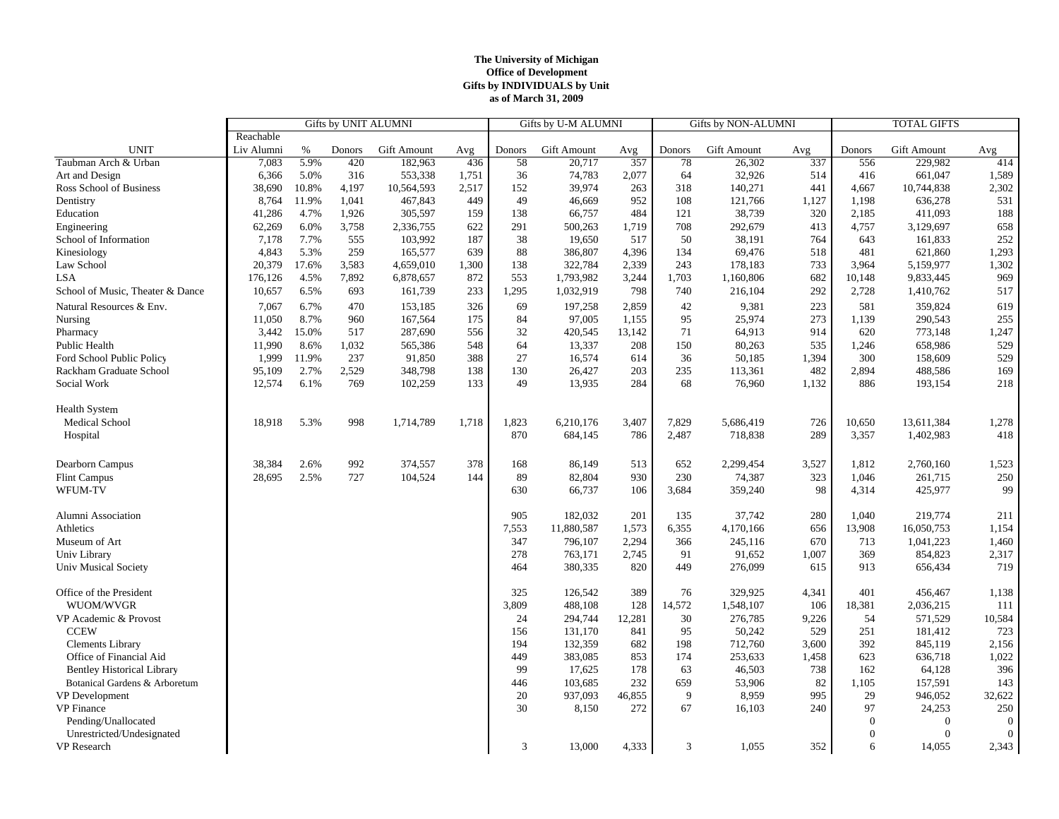#### **The University of Michigan Office of Development Gifts by INDIVIDUALS by Unit as of March 31, 2009**

|                                   | <b>Gifts by UNIT ALUMNI</b> |       |        |             |       | Gifts by U-M ALUMNI |             |        | <b>Gifts by NON-ALUMNI</b> |                    | <b>TOTAL GIFTS</b> |          |                    |                |
|-----------------------------------|-----------------------------|-------|--------|-------------|-------|---------------------|-------------|--------|----------------------------|--------------------|--------------------|----------|--------------------|----------------|
|                                   | Reachable                   |       |        |             |       |                     |             |        |                            |                    |                    |          |                    |                |
| <b>UNIT</b>                       | Liv Alumni                  | $\%$  | Donors | Gift Amount | Avg   | Donors              | Gift Amount | Avg    | Donors                     | <b>Gift Amount</b> | Avg                | Donors   | <b>Gift Amount</b> | Avg            |
| Taubman Arch & Urban              | 7,083                       | 5.9%  | 420    | 182,963     | 436   | 58                  | 20,717      | 357    | 78                         | 26,302             | 337                | 556      | 229,982            | 414            |
| Art and Design                    | 6,366                       | 5.0%  | 316    | 553,338     | 1,751 | 36                  | 74,783      | 2,077  | 64                         | 32,926             | 514                | 416      | 661,047            | 1,589          |
| Ross School of Business           | 38,690                      | 10.8% | 4,197  | 10,564,593  | 2,517 | 152                 | 39,974      | 263    | 318                        | 140,271            | 441                | 4,667    | 10,744,838         | 2,302          |
| Dentistry                         | 8,764                       | 11.9% | 1,041  | 467,843     | 449   | 49                  | 46,669      | 952    | 108                        | 121,766            | 1,127              | 1,198    | 636,278            | 531            |
| Education                         | 41,286                      | 4.7%  | 1,926  | 305,597     | 159   | 138                 | 66,757      | 484    | 121                        | 38,739             | 320                | 2,185    | 411,093            | 188            |
| Engineering                       | 62,269                      | 6.0%  | 3,758  | 2,336,755   | 622   | 291                 | 500,263     | 1,719  | 708                        | 292,679            | 413                | 4,757    | 3,129,697          | 658            |
| School of Information             | 7,178                       | 7.7%  | 555    | 103,992     | 187   | 38                  | 19,650      | 517    | 50                         | 38,191             | 764                | 643      | 161,833            | 252            |
| Kinesiology                       | 4,843                       | 5.3%  | 259    | 165,577     | 639   | 88                  | 386,807     | 4,396  | 134                        | 69,476             | 518                | 481      | 621,860            | 1,293          |
| Law School                        | 20,379                      | 17.6% | 3,583  | 4,659,010   | 1,300 | 138                 | 322,784     | 2,339  | 243                        | 178,183            | 733                | 3,964    | 5,159,977          | 1,302          |
| <b>LSA</b>                        | 176,126                     | 4.5%  | 7,892  | 6,878,657   | 872   | 553                 | 1,793,982   | 3,244  | 1,703                      | 1,160,806          | 682                | 10,148   | 9,833,445          | 969            |
| School of Music, Theater & Dance  | 10,657                      | 6.5%  | 693    | 161,739     | 233   | 1,295               | 1,032,919   | 798    | 740                        | 216,104            | 292                | 2,728    | 1,410,762          | 517            |
| Natural Resources & Env.          | 7,067                       | 6.7%  | 470    | 153,185     | 326   | 69                  | 197,258     | 2,859  | 42                         | 9,381              | 223                | 581      | 359,824            | 619            |
| Nursing                           | 11,050                      | 8.7%  | 960    | 167,564     | 175   | 84                  | 97,005      | 1,155  | 95                         | 25,974             | 273                | 1,139    | 290,543            | 255            |
| Pharmacy                          | 3,442                       | 15.0% | 517    | 287,690     | 556   | 32                  | 420,545     | 13,142 | 71                         | 64,913             | 914                | 620      | 773,148            | 1,247          |
| Public Health                     | 11,990                      | 8.6%  | 1,032  | 565,386     | 548   | 64                  | 13,337      | 208    | 150                        | 80,263             | 535                | 1,246    | 658,986            | 529            |
| Ford School Public Policy         | 1,999                       | 11.9% | 237    | 91,850      | 388   | 27                  | 16,574      | 614    | 36                         | 50,185             | 1,394              | 300      | 158,609            | 529            |
| Rackham Graduate School           | 95,109                      | 2.7%  | 2,529  | 348,798     | 138   | 130                 | 26,427      | 203    | 235                        | 113,361            | 482                | 2,894    | 488,586            | 169            |
| Social Work                       | 12,574                      | 6.1%  | 769    | 102,259     | 133   | 49                  | 13,935      | 284    | 68                         | 76,960             | 1,132              | 886      | 193,154            | 218            |
|                                   |                             |       |        |             |       |                     |             |        |                            |                    |                    |          |                    |                |
| <b>Health System</b>              |                             |       |        |             |       |                     |             |        |                            |                    |                    |          |                    |                |
| Medical School                    | 18,918                      | 5.3%  | 998    | 1,714,789   | 1,718 | 1,823               | 6,210,176   | 3,407  | 7,829                      | 5,686,419          | 726                | 10,650   | 13,611,384         | 1,278          |
| Hospital                          |                             |       |        |             |       | 870                 | 684,145     | 786    | 2,487                      | 718,838            | 289                | 3,357    | 1,402,983          | 418            |
|                                   |                             |       |        |             |       |                     |             |        |                            |                    |                    |          |                    |                |
| Dearborn Campus                   | 38,384                      | 2.6%  | 992    | 374,557     | 378   | 168                 | 86,149      | 513    | 652                        | 2,299,454          | 3,527              | 1,812    | 2,760,160          | 1,523          |
| <b>Flint Campus</b>               | 28,695                      | 2.5%  | 727    | 104,524     | 144   | 89                  | 82,804      | 930    | 230                        | 74,387             | 323                | 1,046    | 261,715            | 250            |
| WFUM-TV                           |                             |       |        |             |       | 630                 | 66,737      | 106    | 3,684                      | 359,240            | 98                 | 4,314    | 425,977            | 99             |
|                                   |                             |       |        |             |       |                     |             |        |                            |                    |                    |          |                    |                |
| Alumni Association                |                             |       |        |             |       | 905                 | 182,032     | 201    | 135                        | 37,742             | 280                | 1.040    | 219,774            | 211            |
| Athletics                         |                             |       |        |             |       | 7,553               | 11,880,587  | 1,573  | 6,355                      | 4,170,166          | 656                | 13,908   | 16,050,753         | 1,154          |
| Museum of Art                     |                             |       |        |             |       | 347                 | 796,107     | 2,294  | 366                        | 245,116            | 670                | 713      | 1,041,223          | 1,460          |
| Univ Library                      |                             |       |        |             |       | 278                 | 763,171     | 2,745  | 91                         | 91,652             | 1,007              | 369      | 854,823            | 2,317          |
| <b>Univ Musical Society</b>       |                             |       |        |             |       | 464                 | 380,335     | 820    | 449                        | 276,099            | 615                | 913      | 656,434            | 719            |
|                                   |                             |       |        |             |       |                     |             |        |                            |                    |                    |          |                    |                |
| Office of the President           |                             |       |        |             |       | 325                 | 126,542     | 389    | 76                         | 329,925            | 4,341              | 401      | 456,467            | 1,138          |
| WUOM/WVGR                         |                             |       |        |             |       | 3,809               | 488,108     | 128    | 14,572                     | 1,548,107          | 106                | 18,381   | 2,036,215          | 111            |
| VP Academic & Provost             |                             |       |        |             |       | 24                  | 294,744     | 12,281 | 30                         | 276,785            | 9,226              | 54       | 571,529            | 10,584         |
| <b>CCEW</b>                       |                             |       |        |             |       | 156                 | 131,170     | 841    | 95                         | 50,242             | 529                | 251      | 181,412            | 723            |
| <b>Clements Library</b>           |                             |       |        |             |       | 194                 | 132,359     | 682    | 198                        | 712,760            | 3,600              | 392      | 845,119            | 2,156          |
| Office of Financial Aid           |                             |       |        |             |       | 449                 | 383,085     | 853    | 174                        | 253,633            | 1,458              | 623      | 636,718            | 1,022          |
| <b>Bentley Historical Library</b> |                             |       |        |             |       | 99                  | 17,625      | 178    | 63                         | 46,503             | 738                | 162      | 64,128             | 396            |
| Botanical Gardens & Arboretum     |                             |       |        |             |       | 446                 | 103,685     | 232    | 659                        | 53,906             | 82                 | 1,105    | 157,591            | 143            |
| VP Development                    |                             |       |        |             |       | 20                  | 937,093     | 46,855 | 9                          | 8,959              | 995                | 29       | 946,052            | 32,622         |
| <b>VP</b> Finance                 |                             |       |        |             |       | 30                  | 8,150       | 272    | 67                         | 16,103             | 240                | 97       | 24,253             | 250            |
| Pending/Unallocated               |                             |       |        |             |       |                     |             |        |                            |                    |                    | $\theta$ | $\theta$           | $\overline{0}$ |
| Unrestricted/Undesignated         |                             |       |        |             |       |                     |             |        |                            |                    |                    | $\Omega$ | $\Omega$           | $\overline{0}$ |
| <b>VP</b> Research                |                             |       |        |             |       | 3                   | 13,000      | 4,333  | 3                          | 1,055              | 352                | 6        | 14,055             | 2,343          |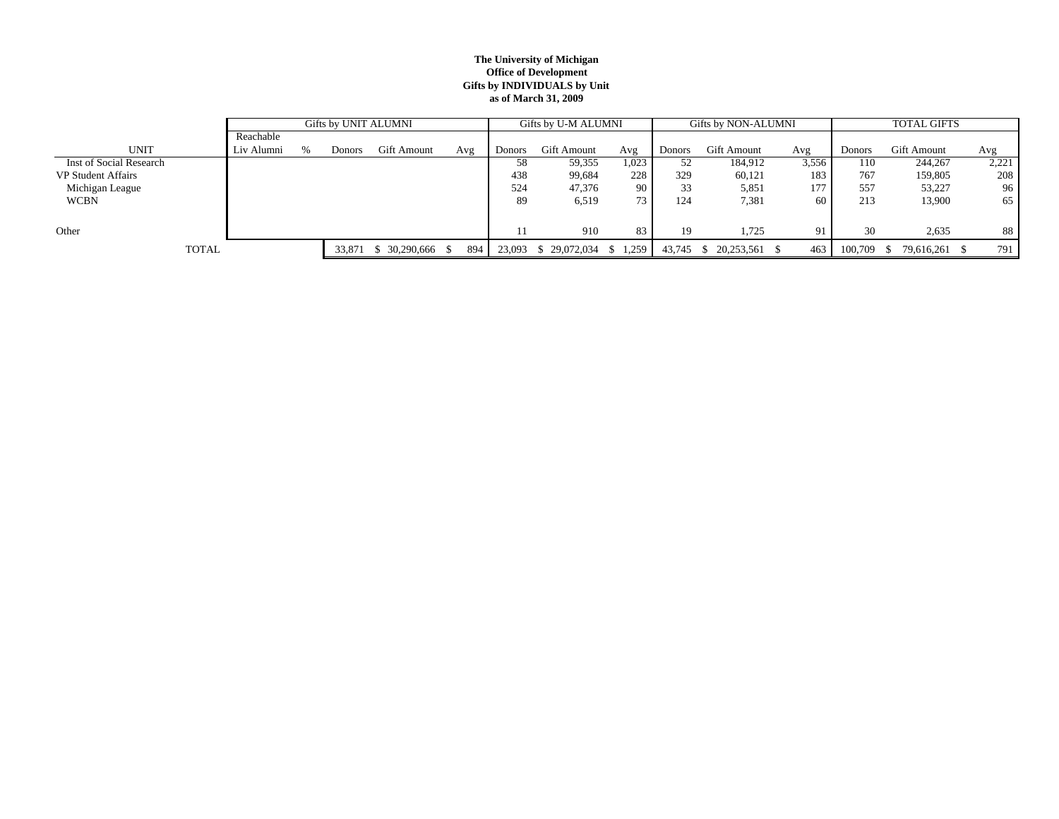#### **The University of Michigan Office of Development Gifts by INDIVIDUALS by Unit as of March 31, 2009**

|                           |            | Gifts by UNIT ALUMNI |        |                  |     |               | Gifts by U-M ALUMNI           |       |        | Gifts by NON-ALUMNI |       | <b>TOTAL GIFTS</b> |             |       |  |
|---------------------------|------------|----------------------|--------|------------------|-----|---------------|-------------------------------|-------|--------|---------------------|-------|--------------------|-------------|-------|--|
|                           | Reachable  |                      |        |                  |     |               |                               |       |        |                     |       |                    |             |       |  |
| <b>UNIT</b>               | Liv Alumni |                      | Donors | Gift Amount      | Avg | <b>Donors</b> | Gift Amount                   | Avg   | Donors | <b>Gift Amount</b>  | Avg   | Donors             | Gift Amount | Avg   |  |
| Inst of Social Research   |            |                      |        |                  |     | 58            | 59,355                        | 1,023 |        | 184,912             | 3,556 | 110                | 244,267     | 2,221 |  |
| <b>VP Student Affairs</b> |            |                      |        |                  |     | 438           | 99,684                        | 228   | 329    | 60,121              | 183   | 767                | 159,805     | 208   |  |
| Michigan League           |            |                      |        |                  |     | 524           | 47,376                        | 90    | 33     | 5,851               | 177   | 557                | 53,227      | 96    |  |
| <b>WCBN</b>               |            |                      |        |                  |     | 89            | 6,519                         |       | 124    | 7,381               | 60    | 213                | 13,900      | 65    |  |
|                           |            |                      |        |                  |     |               |                               |       |        |                     |       |                    |             |       |  |
| Other                     |            |                      |        |                  |     |               | 910                           | 83    | 19     | 1,725               | 91    | 30                 | 2,635       | 88    |  |
| <b>TOTAL</b>              |            |                      | 33,871 | $$30,290,666$ \; | 894 |               | 23,093 \$ 29,072,034 \$ 1,259 |       | 43,745 | $$20,253,561$ \, \$ | 463   | 100,709            | 79,616,261  | 791   |  |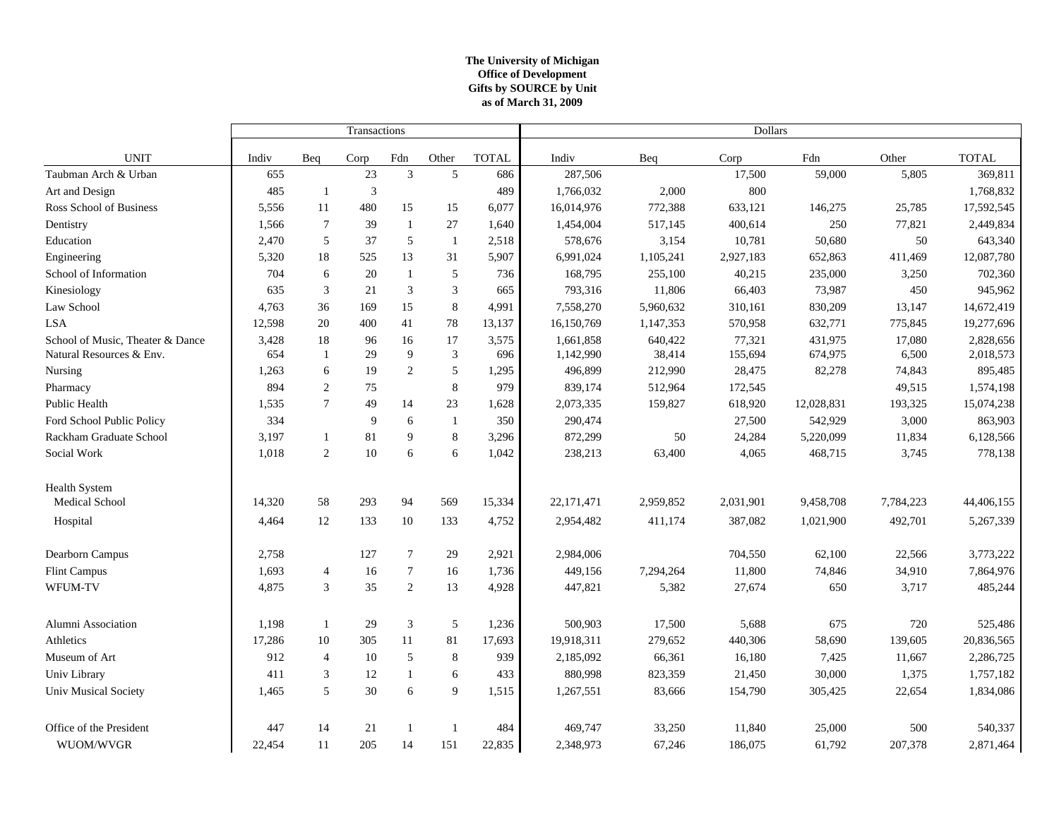### **The University of Michigan Office of Development as of March 31, 2009 Gifts by SOURCE by Unit**

|                                  |        |                | Transactions |                  |                |              | <b>Dollars</b> |           |           |            |           |              |  |
|----------------------------------|--------|----------------|--------------|------------------|----------------|--------------|----------------|-----------|-----------|------------|-----------|--------------|--|
| <b>UNIT</b>                      | Indiv  | Beq            | Corp         | Fdn              | Other          | <b>TOTAL</b> | Indiv          | Beq       | Corp      | Fdn        | Other     | <b>TOTAL</b> |  |
| Taubman Arch & Urban             | 655    |                | 23           | $\mathfrak{Z}$   | 5              | 686          | 287,506        |           | 17,500    | 59,000     | 5,805     | 369,811      |  |
| Art and Design                   | 485    | -1             | 3            |                  |                | 489          | 1,766,032      | 2,000     | 800       |            |           | 1,768,832    |  |
| Ross School of Business          | 5,556  | 11             | 480          | 15               | 15             | 6,077        | 16,014,976     | 772,388   | 633,121   | 146,275    | 25,785    | 17,592,545   |  |
| Dentistry                        | 1,566  | $\overline{7}$ | 39           | $\mathbf{1}$     | 27             | 1,640        | 1,454,004      | 517,145   | 400,614   | 250        | 77,821    | 2,449,834    |  |
| Education                        | 2,470  | 5              | 37           | 5                | $\mathbf{1}$   | 2,518        | 578,676        | 3,154     | 10,781    | 50,680     | 50        | 643,340      |  |
| Engineering                      | 5,320  | 18             | 525          | 13               | 31             | 5,907        | 6,991,024      | 1,105,241 | 2,927,183 | 652,863    | 411,469   | 12,087,780   |  |
| School of Information            | 704    | 6              | 20           | $\mathbf{1}$     | 5              | 736          | 168,795        | 255,100   | 40,215    | 235,000    | 3,250     | 702,360      |  |
| Kinesiology                      | 635    | $\sqrt{3}$     | 21           | $\mathfrak{Z}$   | $\mathfrak{Z}$ | 665          | 793,316        | 11,806    | 66,403    | 73,987     | 450       | 945,962      |  |
| Law School                       | 4,763  | 36             | 169          | 15               | $\,8\,$        | 4,991        | 7,558,270      | 5,960,632 | 310,161   | 830,209    | 13,147    | 14,672,419   |  |
| <b>LSA</b>                       | 12,598 | 20             | 400          | 41               | 78             | 13,137       | 16,150,769     | 1,147,353 | 570,958   | 632,771    | 775,845   | 19,277,696   |  |
| School of Music, Theater & Dance | 3,428  | 18             | 96           | 16               | 17             | 3,575        | 1,661,858      | 640,422   | 77,321    | 431,975    | 17,080    | 2,828,656    |  |
| Natural Resources & Env.         | 654    | -1             | 29           | 9                | $\mathfrak{Z}$ | 696          | 1,142,990      | 38,414    | 155,694   | 674,975    | 6,500     | 2,018,573    |  |
| Nursing                          | 1,263  | 6              | 19           | $\boldsymbol{2}$ | $\sqrt{5}$     | 1,295        | 496,899        | 212,990   | 28,475    | 82,278     | 74,843    | 895,485      |  |
| Pharmacy                         | 894    | $\sqrt{2}$     | 75           |                  | $\,8\,$        | 979          | 839,174        | 512,964   | 172,545   |            | 49,515    | 1,574,198    |  |
| Public Health                    | 1,535  | $\overline{7}$ | 49           | 14               | 23             | 1,628        | 2,073,335      | 159,827   | 618,920   | 12,028,831 | 193,325   | 15,074,238   |  |
| Ford School Public Policy        | 334    |                | 9            | 6                | -1             | 350          | 290,474        |           | 27,500    | 542,929    | 3,000     | 863,903      |  |
| Rackham Graduate School          | 3,197  | $\overline{1}$ | 81           | 9                | 8              | 3,296        | 872,299        | 50        | 24,284    | 5,220,099  | 11,834    | 6,128,566    |  |
| Social Work                      | 1,018  | $\overline{c}$ | 10           | 6                | 6              | 1,042        | 238,213        | 63,400    | 4,065     | 468,715    | 3,745     | 778,138      |  |
| <b>Health System</b>             |        |                |              |                  |                |              |                |           |           |            |           |              |  |
| Medical School                   | 14,320 | 58             | 293          | 94               | 569            | 15,334       | 22,171,471     | 2,959,852 | 2,031,901 | 9,458,708  | 7,784,223 | 44,406,155   |  |
| Hospital                         | 4,464  | 12             | 133          | 10               | 133            | 4,752        | 2,954,482      | 411,174   | 387,082   | 1,021,900  | 492,701   | 5,267,339    |  |
| Dearborn Campus                  | 2,758  |                | 127          | 7                | 29             | 2,921        | 2,984,006      |           | 704,550   | 62,100     | 22,566    | 3,773,222    |  |
| Flint Campus                     | 1,693  | $\overline{4}$ | 16           | $\tau$           | 16             | 1,736        | 449,156        | 7,294,264 | 11,800    | 74,846     | 34,910    | 7,864,976    |  |
| WFUM-TV                          | 4,875  | $\overline{3}$ | 35           | $\mathbf{2}$     | 13             | 4,928        | 447,821        | 5,382     | 27,674    | 650        | 3,717     | 485,244      |  |
| Alumni Association               | 1,198  | $\overline{1}$ | 29           | 3                | 5              | 1,236        | 500,903        | 17,500    | 5,688     | 675        | 720       | 525,486      |  |
| Athletics                        | 17,286 | 10             | 305          | 11               | 81             | 17,693       | 19,918,311     | 279,652   | 440,306   | 58,690     | 139,605   | 20,836,565   |  |
| Museum of Art                    | 912    | $\overline{4}$ | 10           | 5                | 8              | 939          | 2,185,092      | 66,361    | 16,180    | 7,425      | 11,667    | 2,286,725    |  |
| Univ Library                     | 411    | 3              | 12           | $\mathbf{1}$     | 6              | 433          | 880,998        | 823,359   | 21,450    | 30,000     | 1,375     | 1,757,182    |  |
| <b>Univ Musical Society</b>      | 1,465  | 5              | 30           | 6                | 9              | 1,515        | 1,267,551      | 83,666    | 154,790   | 305,425    | 22,654    | 1,834,086    |  |
| Office of the President          | 447    | 14             | 21           | $\overline{1}$   | $\overline{1}$ | 484          | 469,747        | 33,250    | 11,840    | 25,000     | 500       | 540,337      |  |
| WUOM/WVGR                        | 22,454 | 11             | 205          | 14               | 151            | 22,835       | 2,348,973      | 67,246    | 186,075   | 61,792     | 207,378   | 2,871,464    |  |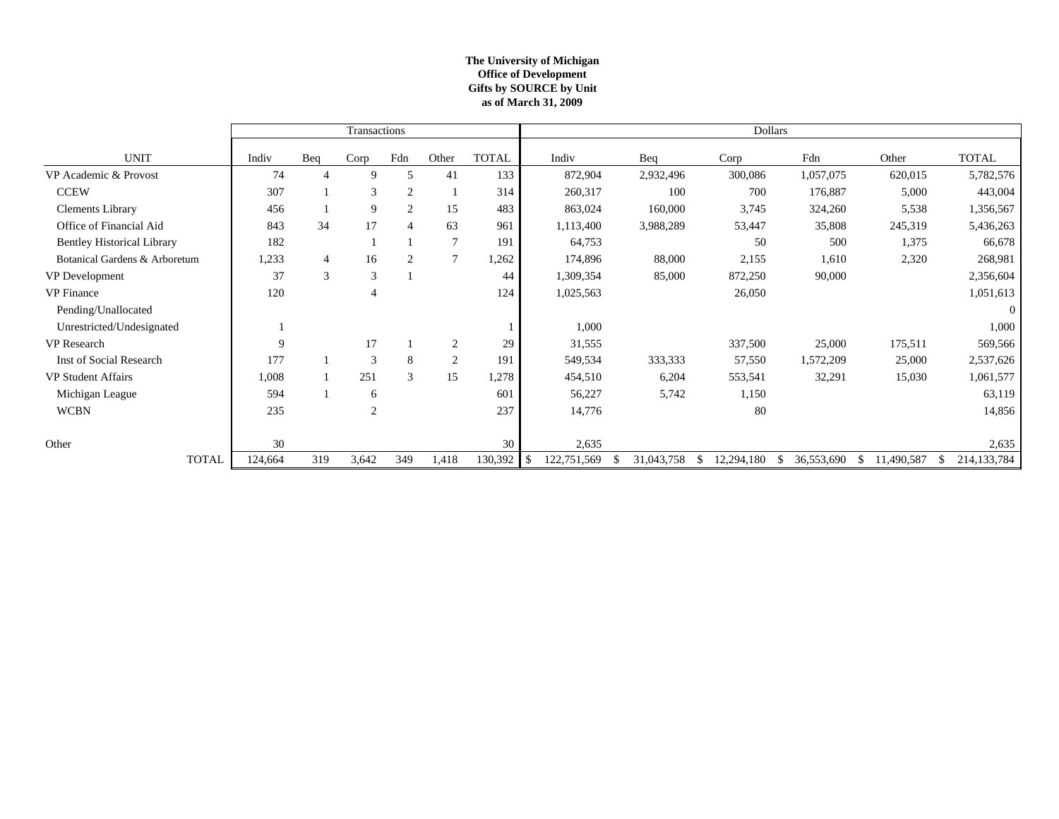### **The University of Michigan Office of Development as of March 31, 2009 Gifts by SOURCE by Unit**

|                                   |         |                | Transactions   |                |                |              | Dollars           |            |            |            |                  |                              |  |
|-----------------------------------|---------|----------------|----------------|----------------|----------------|--------------|-------------------|------------|------------|------------|------------------|------------------------------|--|
| <b>UNIT</b>                       | Indiv   | Beq            | Corp           | Fdn            | Other          | <b>TOTAL</b> | Indiv             | Beq        | Corp       | Fdn        | Other            | <b>TOTAL</b>                 |  |
| VP Academic & Provost             | 74      | 4              | 9              | 5              | 41             | 133          | 872,904           | 2,932,496  | 300,086    | 1,057,075  | 620,015          | 5,782,576                    |  |
| <b>CCEW</b>                       | 307     |                | 3              | $\overline{2}$ |                | 314          | 260,317           | 100        | 700        | 176,887    | 5,000            | 443,004                      |  |
| <b>Clements Library</b>           | 456     |                | 9              | 2              | 15             | 483          | 863,024           | 160,000    | 3,745      | 324,260    | 5,538            | 1,356,567                    |  |
| Office of Financial Aid           | 843     | 34             | 17             | $\overline{4}$ | 63             | 961          | 1,113,400         | 3,988,289  | 53,447     | 35,808     | 245,319          | 5,436,263                    |  |
| <b>Bentley Historical Library</b> | 182     |                |                |                | $\overline{7}$ | 191          | 64,753            |            | 50         | 500        | 1,375            | 66,678                       |  |
| Botanical Gardens & Arboretum     | 1,233   | $\overline{4}$ | 16             | 2              | $\overline{7}$ | 1,262        | 174,896           | 88,000     | 2,155      | 1,610      | 2,320            | 268,981                      |  |
| VP Development                    | 37      | 3              | 3              |                |                | 44           | 1,309,354         | 85,000     | 872,250    | 90,000     |                  | 2,356,604                    |  |
| <b>VP</b> Finance                 | 120     |                | 4              |                |                | 124          | 1,025,563         |            | 26,050     |            |                  | 1,051,613                    |  |
| Pending/Unallocated               |         |                |                |                |                |              |                   |            |            |            |                  | $\Omega$                     |  |
| Unrestricted/Undesignated         |         |                |                |                |                |              | 1,000             |            |            |            |                  | 1,000                        |  |
| VP Research                       | 9       |                | 17             |                | $\overline{2}$ | 29           | 31,555            |            | 337,500    | 25,000     | 175,511          | 569,566                      |  |
| Inst of Social Research           | 177     |                | 3              | 8              | $\overline{2}$ | 191          | 549,534           | 333,333    | 57,550     | 1,572,209  | 25,000           | 2,537,626                    |  |
| <b>VP Student Affairs</b>         | 1,008   |                | 251            | 3              | 15             | 1,278        | 454,510           | 6,204      | 553,541    | 32,291     | 15,030           | 1,061,577                    |  |
| Michigan League                   | 594     |                | 6              |                |                | 601          | 56,227            | 5,742      | 1,150      |            |                  | 63,119                       |  |
| <b>WCBN</b>                       | 235     |                | $\overline{c}$ |                |                | 237          | 14,776            |            | 80         |            |                  | 14,856                       |  |
|                                   |         |                |                |                |                |              |                   |            |            |            |                  |                              |  |
| Other                             | 30      |                |                |                |                | 30           | 2,635             |            |            |            |                  | 2,635                        |  |
| <b>TOTAL</b>                      | 124,664 | 319            | 3,642          | 349            | 1,418          | 130,392      | 122,751,569<br>\$ | 31,043,758 | 12,294,180 | 36,553,690 | 11,490,587<br>\$ | 214,133,784<br><sup>\$</sup> |  |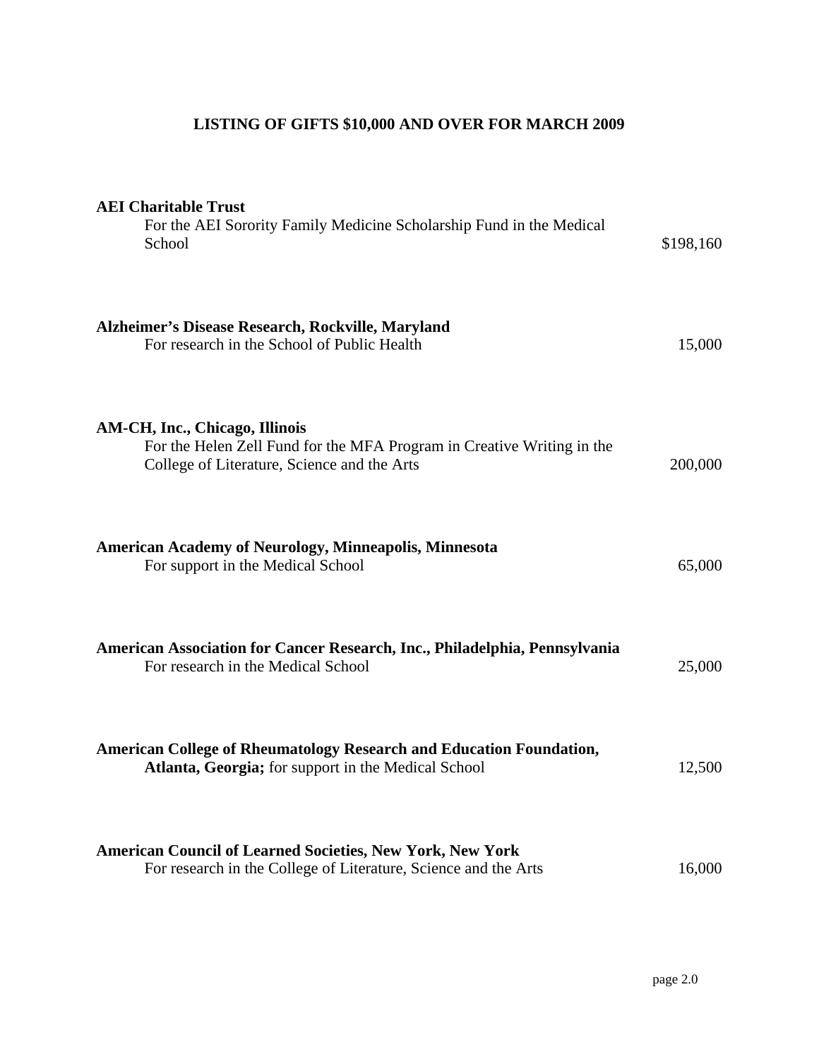# **LISTING OF GIFTS \$10,000 AND OVER FOR MARCH 2009**

| <b>AEI</b> Charitable Trust<br>For the AEI Sorority Family Medicine Scholarship Fund in the Medical<br>School                                           | \$198,160 |
|---------------------------------------------------------------------------------------------------------------------------------------------------------|-----------|
| Alzheimer's Disease Research, Rockville, Maryland<br>For research in the School of Public Health                                                        | 15,000    |
| AM-CH, Inc., Chicago, Illinois<br>For the Helen Zell Fund for the MFA Program in Creative Writing in the<br>College of Literature, Science and the Arts | 200,000   |
| <b>American Academy of Neurology, Minneapolis, Minnesota</b><br>For support in the Medical School                                                       | 65,000    |
| American Association for Cancer Research, Inc., Philadelphia, Pennsylvania<br>For research in the Medical School                                        | 25,000    |
| <b>American College of Rheumatology Research and Education Foundation,</b><br>Atlanta, Georgia; for support in the Medical School                       | 12,500    |
| <b>American Council of Learned Societies, New York, New York</b><br>For research in the College of Literature, Science and the Arts                     | 16,000    |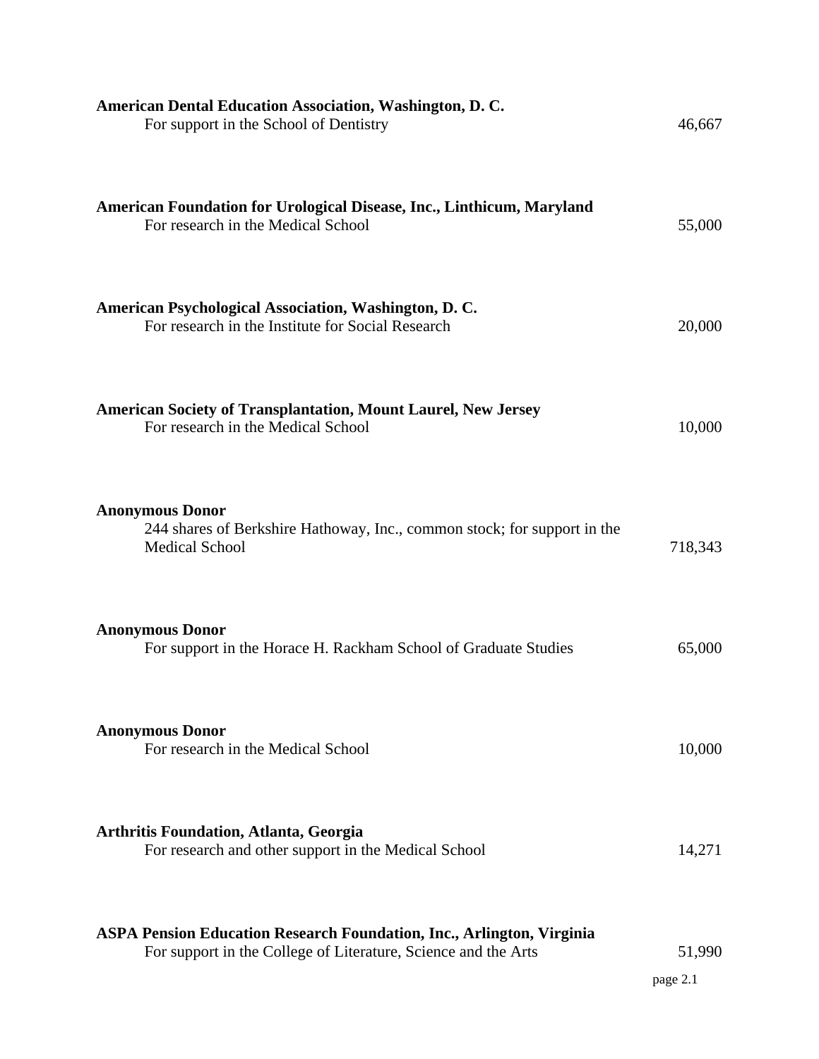| <b>American Dental Education Association, Washington, D. C.</b><br>For support in the School of Dentistry                                      | 46,667             |
|------------------------------------------------------------------------------------------------------------------------------------------------|--------------------|
| American Foundation for Urological Disease, Inc., Linthicum, Maryland<br>For research in the Medical School                                    | 55,000             |
| American Psychological Association, Washington, D. C.<br>For research in the Institute for Social Research                                     | 20,000             |
| <b>American Society of Transplantation, Mount Laurel, New Jersey</b><br>For research in the Medical School                                     | 10,000             |
| <b>Anonymous Donor</b><br>244 shares of Berkshire Hathoway, Inc., common stock; for support in the<br><b>Medical School</b>                    | 718,343            |
| <b>Anonymous Donor</b><br>For support in the Horace H. Rackham School of Graduate Studies                                                      | 65,000             |
| <b>Anonymous Donor</b><br>For research in the Medical School                                                                                   | 10,000             |
| <b>Arthritis Foundation, Atlanta, Georgia</b><br>For research and other support in the Medical School                                          | 14,271             |
| <b>ASPA Pension Education Research Foundation, Inc., Arlington, Virginia</b><br>For support in the College of Literature, Science and the Arts | 51,990<br>page 2.1 |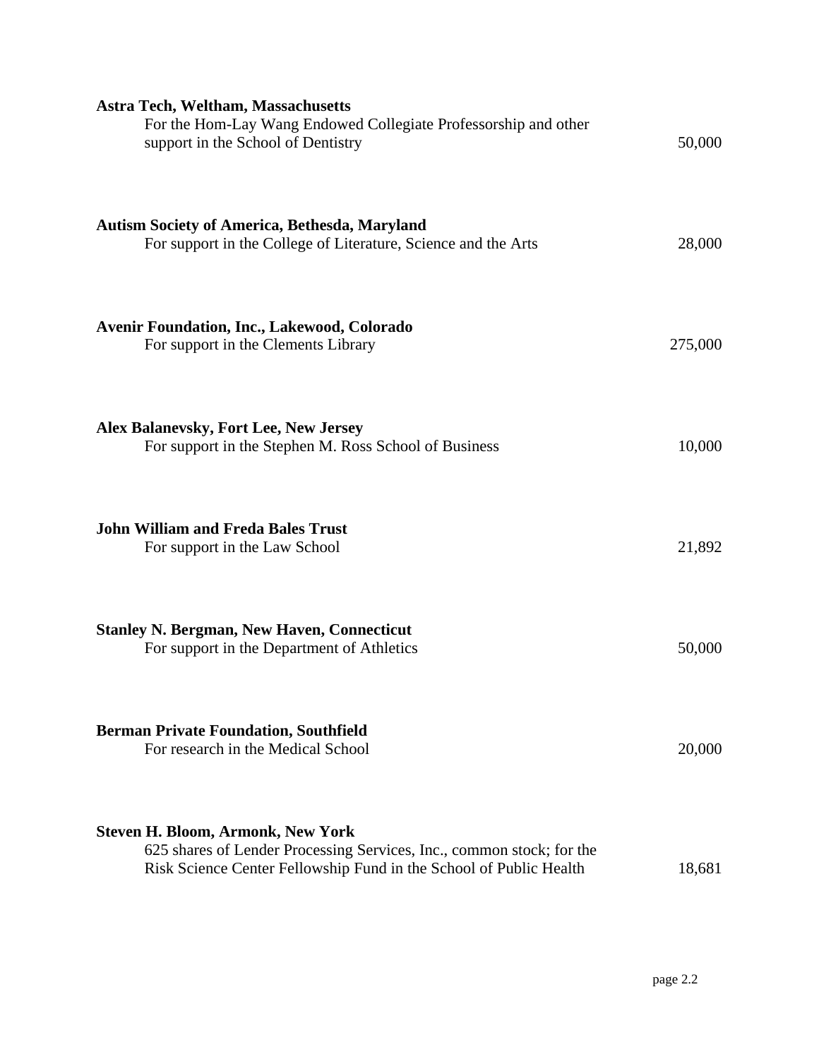| <b>Astra Tech, Weltham, Massachusetts</b><br>For the Hom-Lay Wang Endowed Collegiate Professorship and other<br>support in the School of Dentistry                                      | 50,000  |
|-----------------------------------------------------------------------------------------------------------------------------------------------------------------------------------------|---------|
| <b>Autism Society of America, Bethesda, Maryland</b><br>For support in the College of Literature, Science and the Arts                                                                  | 28,000  |
| <b>Avenir Foundation, Inc., Lakewood, Colorado</b><br>For support in the Clements Library                                                                                               | 275,000 |
| <b>Alex Balanevsky, Fort Lee, New Jersey</b><br>For support in the Stephen M. Ross School of Business                                                                                   | 10,000  |
| <b>John William and Freda Bales Trust</b><br>For support in the Law School                                                                                                              | 21,892  |
| <b>Stanley N. Bergman, New Haven, Connecticut</b><br>For support in the Department of Athletics                                                                                         | 50,000  |
| <b>Berman Private Foundation, Southfield</b><br>For research in the Medical School                                                                                                      | 20,000  |
| <b>Steven H. Bloom, Armonk, New York</b><br>625 shares of Lender Processing Services, Inc., common stock; for the<br>Risk Science Center Fellowship Fund in the School of Public Health | 18,681  |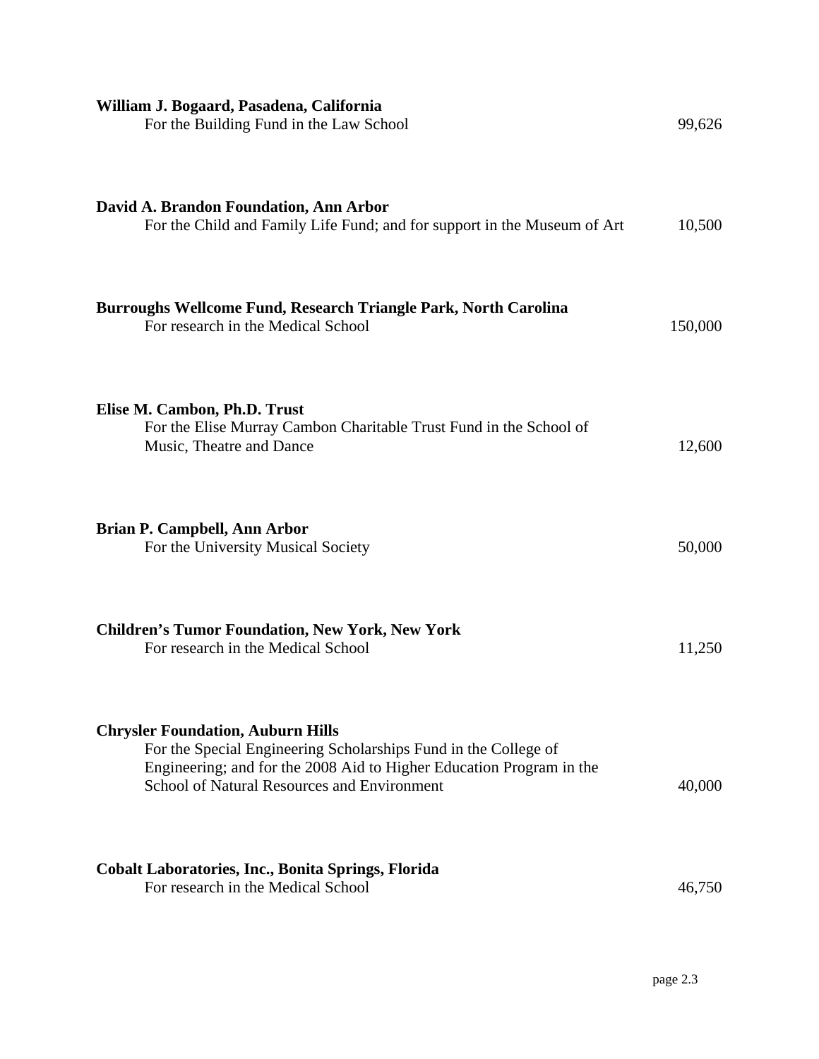| William J. Bogaard, Pasadena, California<br>For the Building Fund in the Law School                                                                                                                                                | 99,626  |
|------------------------------------------------------------------------------------------------------------------------------------------------------------------------------------------------------------------------------------|---------|
| David A. Brandon Foundation, Ann Arbor<br>For the Child and Family Life Fund; and for support in the Museum of Art                                                                                                                 | 10,500  |
| Burroughs Wellcome Fund, Research Triangle Park, North Carolina<br>For research in the Medical School                                                                                                                              | 150,000 |
| Elise M. Cambon, Ph.D. Trust<br>For the Elise Murray Cambon Charitable Trust Fund in the School of<br>Music, Theatre and Dance                                                                                                     | 12,600  |
| <b>Brian P. Campbell, Ann Arbor</b><br>For the University Musical Society                                                                                                                                                          | 50,000  |
| <b>Children's Tumor Foundation, New York, New York</b><br>For research in the Medical School                                                                                                                                       | 11,250  |
| <b>Chrysler Foundation, Auburn Hills</b><br>For the Special Engineering Scholarships Fund in the College of<br>Engineering; and for the 2008 Aid to Higher Education Program in the<br>School of Natural Resources and Environment | 40,000  |
| <b>Cobalt Laboratories, Inc., Bonita Springs, Florida</b><br>For research in the Medical School                                                                                                                                    | 46,750  |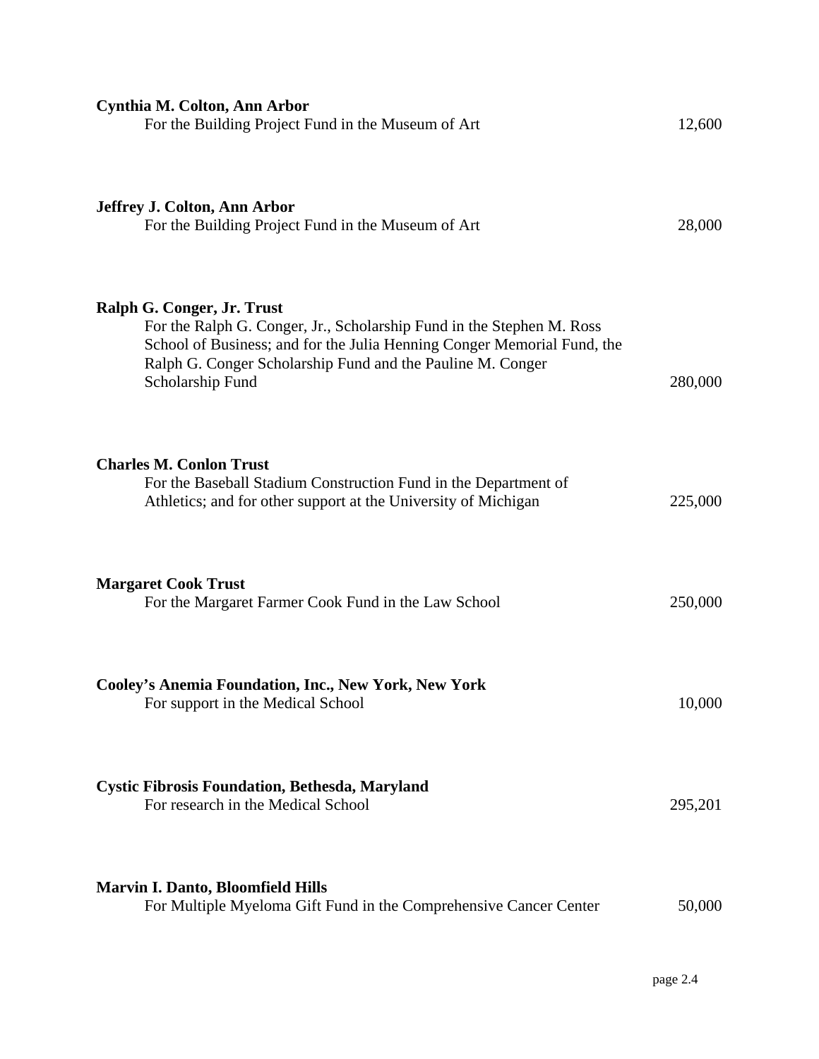| Cynthia M. Colton, Ann Arbor<br>For the Building Project Fund in the Museum of Art                                                                                                                                                                               | 12,600  |
|------------------------------------------------------------------------------------------------------------------------------------------------------------------------------------------------------------------------------------------------------------------|---------|
| Jeffrey J. Colton, Ann Arbor<br>For the Building Project Fund in the Museum of Art                                                                                                                                                                               | 28,000  |
| Ralph G. Conger, Jr. Trust<br>For the Ralph G. Conger, Jr., Scholarship Fund in the Stephen M. Ross<br>School of Business; and for the Julia Henning Conger Memorial Fund, the<br>Ralph G. Conger Scholarship Fund and the Pauline M. Conger<br>Scholarship Fund | 280,000 |
| <b>Charles M. Conlon Trust</b><br>For the Baseball Stadium Construction Fund in the Department of<br>Athletics; and for other support at the University of Michigan                                                                                              | 225,000 |
| <b>Margaret Cook Trust</b><br>For the Margaret Farmer Cook Fund in the Law School                                                                                                                                                                                | 250,000 |
| Cooley's Anemia Foundation, Inc., New York, New York<br>For support in the Medical School                                                                                                                                                                        | 10,000  |
| <b>Cystic Fibrosis Foundation, Bethesda, Maryland</b><br>For research in the Medical School                                                                                                                                                                      | 295,201 |
| <b>Marvin I. Danto, Bloomfield Hills</b><br>For Multiple Myeloma Gift Fund in the Comprehensive Cancer Center                                                                                                                                                    | 50,000  |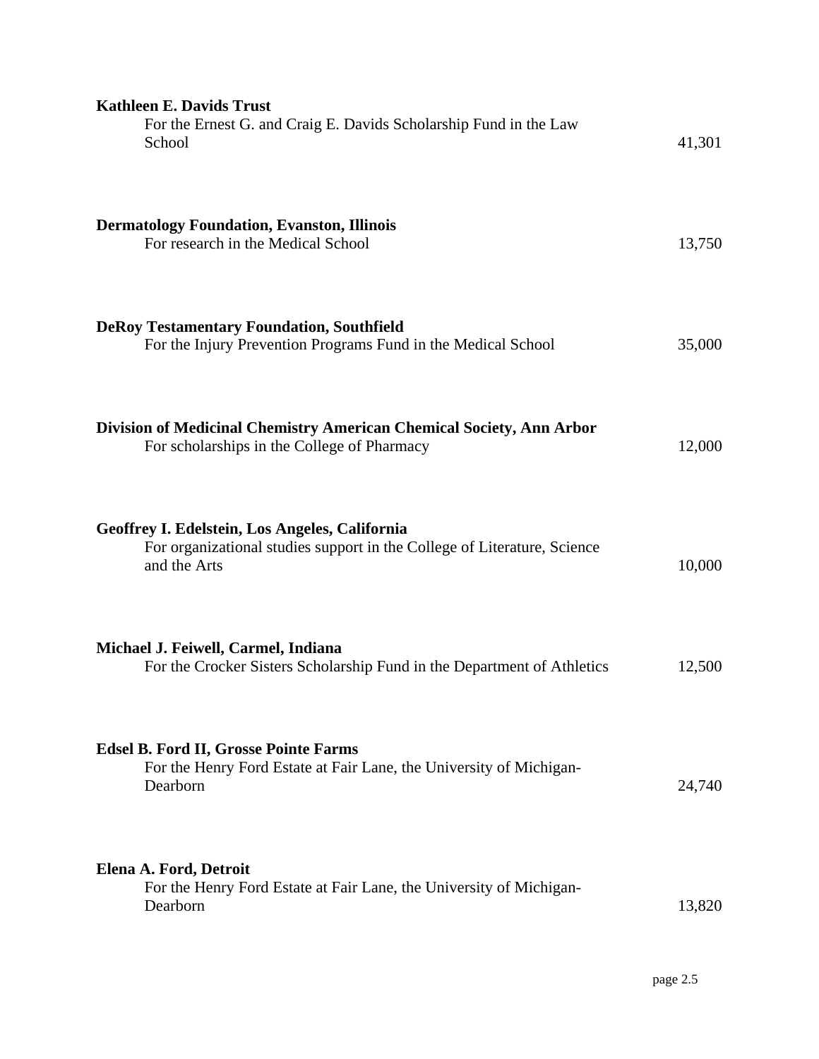| <b>Kathleen E. Davids Trust</b><br>For the Ernest G. and Craig E. Davids Scholarship Fund in the Law<br>School                             | 41,301 |
|--------------------------------------------------------------------------------------------------------------------------------------------|--------|
| <b>Dermatology Foundation, Evanston, Illinois</b><br>For research in the Medical School                                                    | 13,750 |
| <b>DeRoy Testamentary Foundation, Southfield</b><br>For the Injury Prevention Programs Fund in the Medical School                          | 35,000 |
| Division of Medicinal Chemistry American Chemical Society, Ann Arbor<br>For scholarships in the College of Pharmacy                        | 12,000 |
| Geoffrey I. Edelstein, Los Angeles, California<br>For organizational studies support in the College of Literature, Science<br>and the Arts | 10,000 |
| Michael J. Feiwell, Carmel, Indiana<br>For the Crocker Sisters Scholarship Fund in the Department of Athletics                             | 12,500 |
| <b>Edsel B. Ford II, Grosse Pointe Farms</b><br>For the Henry Ford Estate at Fair Lane, the University of Michigan-<br>Dearborn            | 24,740 |
| Elena A. Ford, Detroit<br>For the Henry Ford Estate at Fair Lane, the University of Michigan-<br>Dearborn                                  | 13,820 |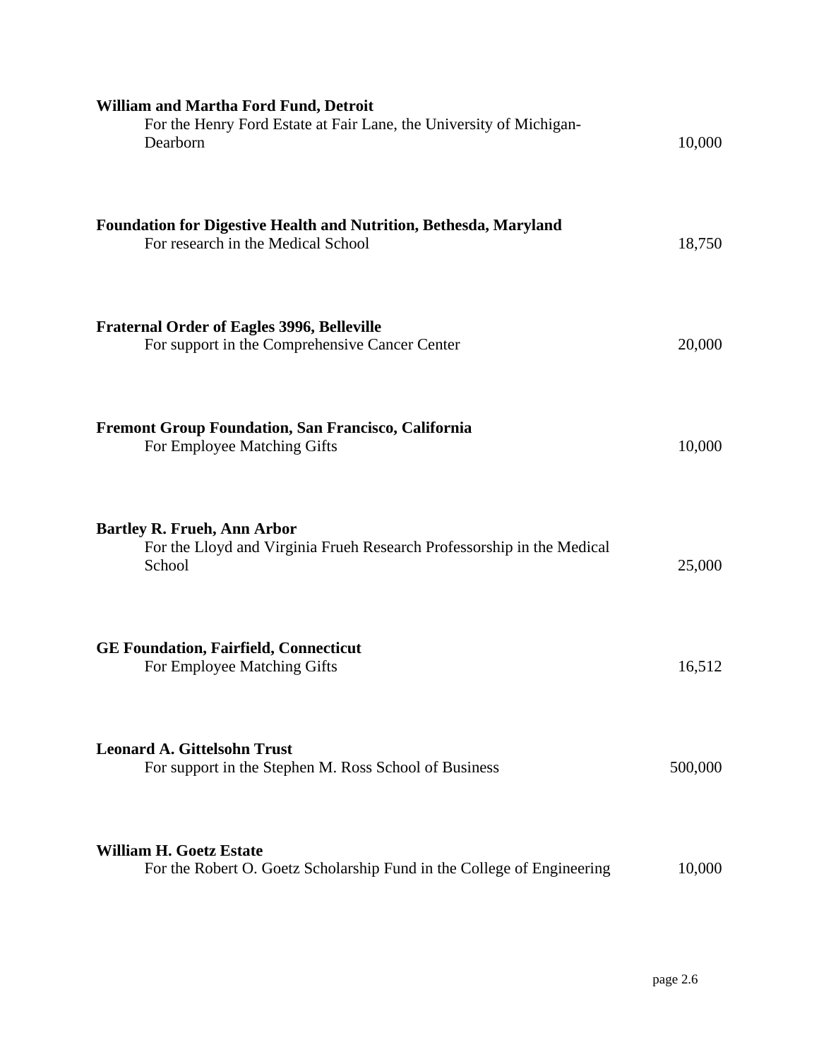| <b>William and Martha Ford Fund, Detroit</b><br>For the Henry Ford Estate at Fair Lane, the University of Michigan-<br>Dearborn | 10,000  |
|---------------------------------------------------------------------------------------------------------------------------------|---------|
| <b>Foundation for Digestive Health and Nutrition, Bethesda, Maryland</b><br>For research in the Medical School                  | 18,750  |
| <b>Fraternal Order of Eagles 3996, Belleville</b><br>For support in the Comprehensive Cancer Center                             | 20,000  |
| <b>Fremont Group Foundation, San Francisco, California</b><br>For Employee Matching Gifts                                       | 10,000  |
| <b>Bartley R. Frueh, Ann Arbor</b><br>For the Lloyd and Virginia Frueh Research Professorship in the Medical<br>School          | 25,000  |
| <b>GE Foundation, Fairfield, Connecticut</b><br>For Employee Matching Gifts                                                     | 16,512  |
| <b>Leonard A. Gittelsohn Trust</b><br>For support in the Stephen M. Ross School of Business                                     | 500,000 |
| <b>William H. Goetz Estate</b><br>For the Robert O. Goetz Scholarship Fund in the College of Engineering                        | 10,000  |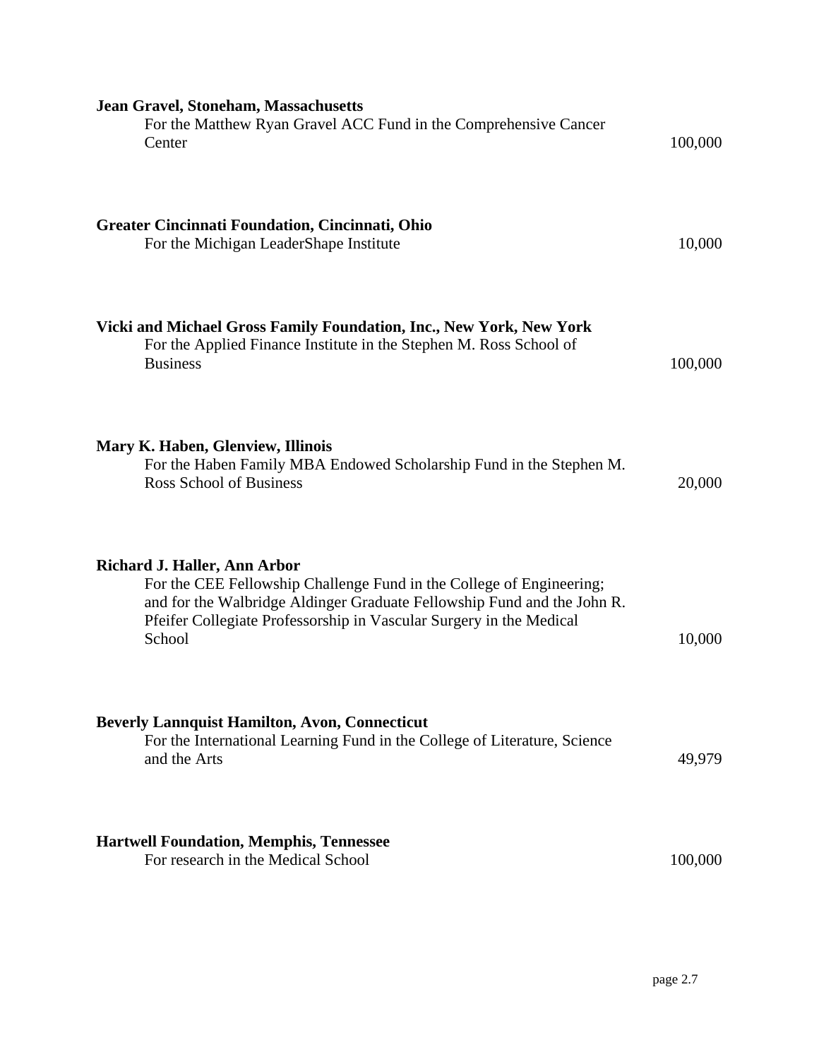| <b>Jean Gravel, Stoneham, Massachusetts</b><br>For the Matthew Ryan Gravel ACC Fund in the Comprehensive Cancer<br>Center                                                                                                                                               | 100,000 |
|-------------------------------------------------------------------------------------------------------------------------------------------------------------------------------------------------------------------------------------------------------------------------|---------|
| Greater Cincinnati Foundation, Cincinnati, Ohio<br>For the Michigan LeaderShape Institute                                                                                                                                                                               | 10,000  |
| Vicki and Michael Gross Family Foundation, Inc., New York, New York<br>For the Applied Finance Institute in the Stephen M. Ross School of<br><b>Business</b>                                                                                                            | 100,000 |
| Mary K. Haben, Glenview, Illinois<br>For the Haben Family MBA Endowed Scholarship Fund in the Stephen M.<br><b>Ross School of Business</b>                                                                                                                              | 20,000  |
| <b>Richard J. Haller, Ann Arbor</b><br>For the CEE Fellowship Challenge Fund in the College of Engineering;<br>and for the Walbridge Aldinger Graduate Fellowship Fund and the John R.<br>Pfeifer Collegiate Professorship in Vascular Surgery in the Medical<br>School | 10,000  |
| <b>Beverly Lannquist Hamilton, Avon, Connecticut</b><br>For the International Learning Fund in the College of Literature, Science<br>and the Arts                                                                                                                       | 49,979  |
| <b>Hartwell Foundation, Memphis, Tennessee</b><br>For research in the Medical School                                                                                                                                                                                    | 100,000 |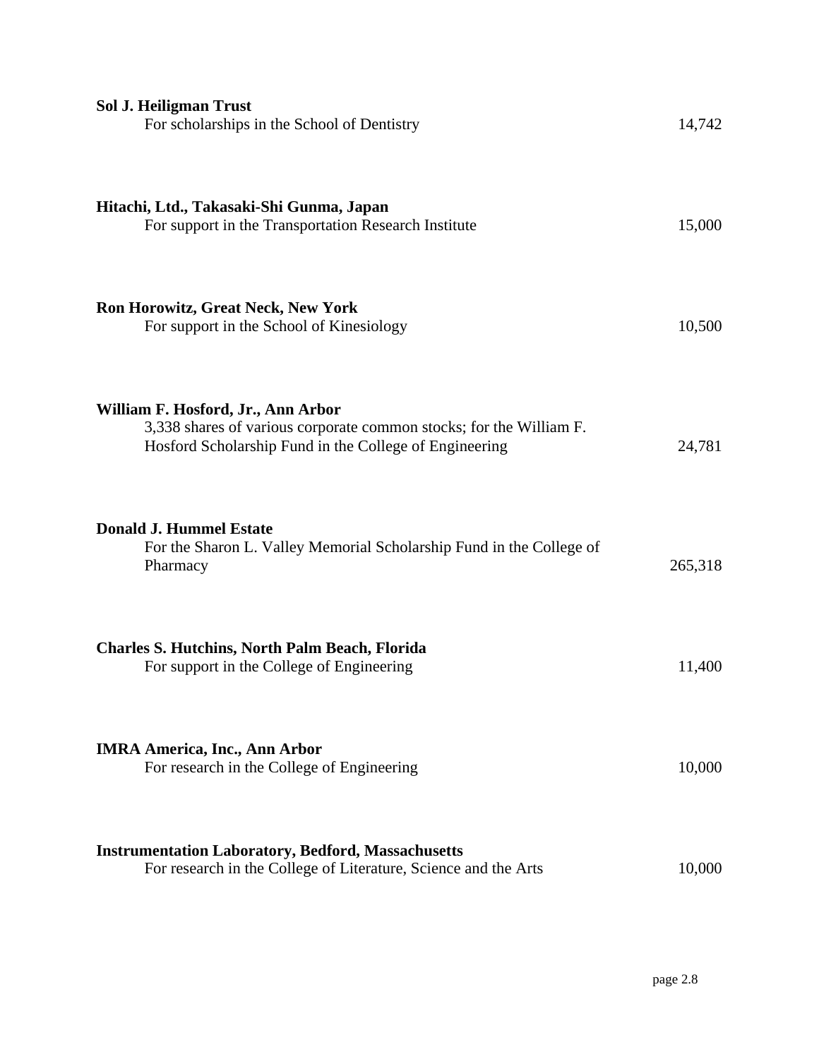| <b>Sol J. Heiligman Trust</b><br>For scholarships in the School of Dentistry                                                                                        | 14,742  |
|---------------------------------------------------------------------------------------------------------------------------------------------------------------------|---------|
| Hitachi, Ltd., Takasaki-Shi Gunma, Japan<br>For support in the Transportation Research Institute                                                                    | 15,000  |
| <b>Ron Horowitz, Great Neck, New York</b><br>For support in the School of Kinesiology                                                                               | 10,500  |
| William F. Hosford, Jr., Ann Arbor<br>3,338 shares of various corporate common stocks; for the William F.<br>Hosford Scholarship Fund in the College of Engineering | 24,781  |
| <b>Donald J. Hummel Estate</b><br>For the Sharon L. Valley Memorial Scholarship Fund in the College of<br>Pharmacy                                                  | 265,318 |
| <b>Charles S. Hutchins, North Palm Beach, Florida</b><br>For support in the College of Engineering                                                                  | 11,400  |
| <b>IMRA America, Inc., Ann Arbor</b><br>For research in the College of Engineering                                                                                  | 10,000  |
| <b>Instrumentation Laboratory, Bedford, Massachusetts</b><br>For research in the College of Literature, Science and the Arts                                        | 10,000  |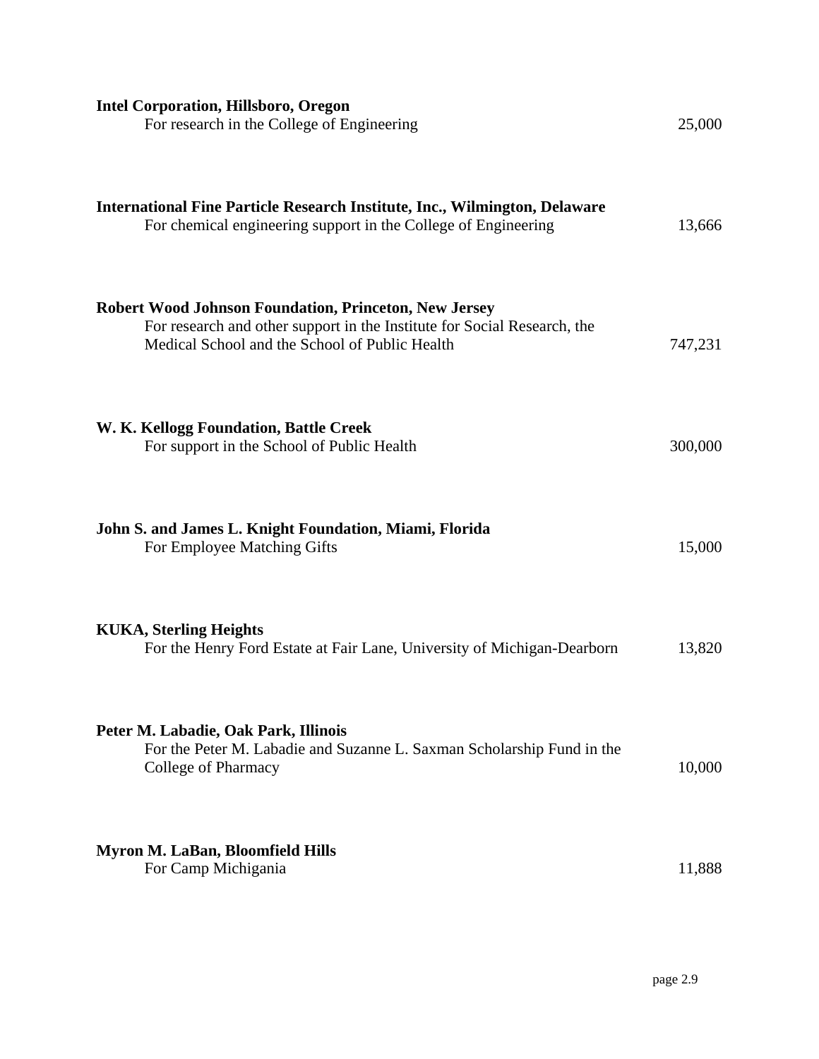| <b>Intel Corporation, Hillsboro, Oregon</b><br>For research in the College of Engineering                                                                                           | 25,000  |
|-------------------------------------------------------------------------------------------------------------------------------------------------------------------------------------|---------|
| <b>International Fine Particle Research Institute, Inc., Wilmington, Delaware</b><br>For chemical engineering support in the College of Engineering                                 | 13,666  |
| Robert Wood Johnson Foundation, Princeton, New Jersey<br>For research and other support in the Institute for Social Research, the<br>Medical School and the School of Public Health | 747,231 |
| W. K. Kellogg Foundation, Battle Creek<br>For support in the School of Public Health                                                                                                | 300,000 |
| John S. and James L. Knight Foundation, Miami, Florida<br>For Employee Matching Gifts                                                                                               | 15,000  |
| <b>KUKA, Sterling Heights</b><br>For the Henry Ford Estate at Fair Lane, University of Michigan-Dearborn                                                                            | 13,820  |
| Peter M. Labadie, Oak Park, Illinois<br>For the Peter M. Labadie and Suzanne L. Saxman Scholarship Fund in the<br>College of Pharmacy                                               | 10,000  |
| <b>Myron M. LaBan, Bloomfield Hills</b><br>For Camp Michigania                                                                                                                      | 11,888  |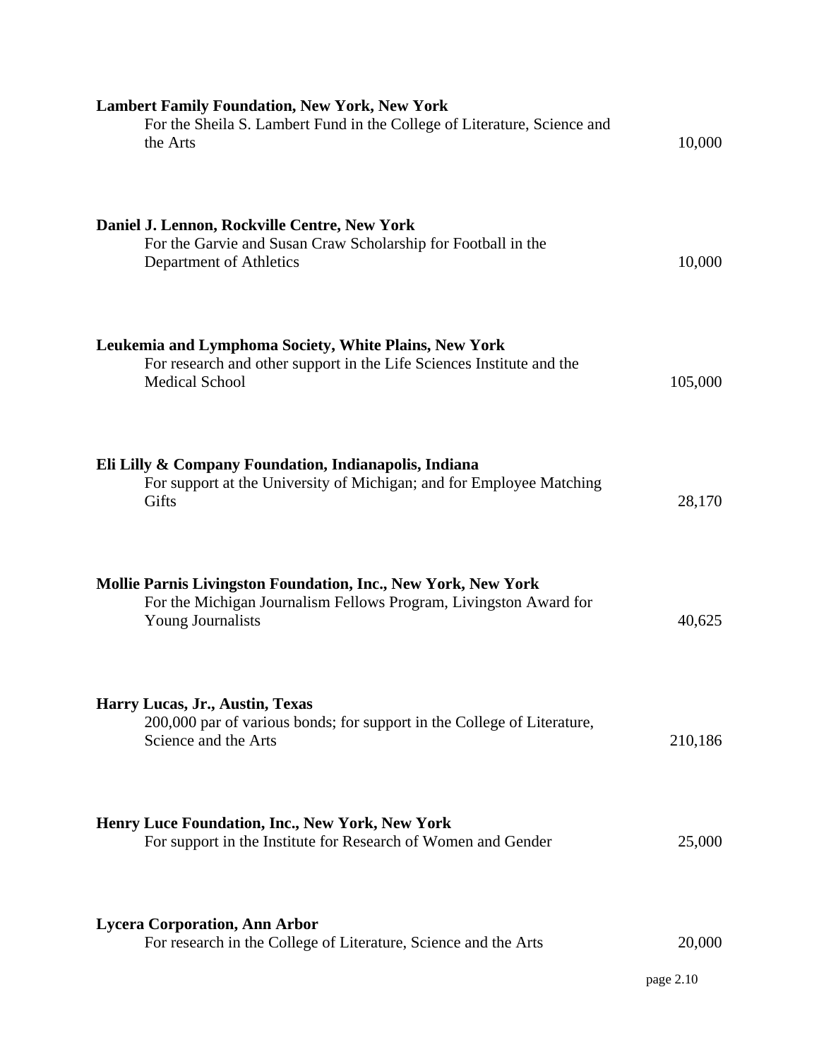| <b>Lambert Family Foundation, New York, New York</b><br>For the Sheila S. Lambert Fund in the College of Literature, Science and<br>the Arts                          | 10,000              |
|-----------------------------------------------------------------------------------------------------------------------------------------------------------------------|---------------------|
| Daniel J. Lennon, Rockville Centre, New York<br>For the Garvie and Susan Craw Scholarship for Football in the<br>Department of Athletics                              | 10,000              |
| Leukemia and Lymphoma Society, White Plains, New York<br>For research and other support in the Life Sciences Institute and the<br><b>Medical School</b>               | 105,000             |
| Eli Lilly & Company Foundation, Indianapolis, Indiana<br>For support at the University of Michigan; and for Employee Matching<br>Gifts                                | 28,170              |
| <b>Mollie Parnis Livingston Foundation, Inc., New York, New York</b><br>For the Michigan Journalism Fellows Program, Livingston Award for<br><b>Young Journalists</b> | 40,625              |
| Harry Lucas, Jr., Austin, Texas<br>200,000 par of various bonds; for support in the College of Literature,<br>Science and the Arts                                    | 210,186             |
| Henry Luce Foundation, Inc., New York, New York<br>For support in the Institute for Research of Women and Gender                                                      | 25,000              |
| <b>Lycera Corporation, Ann Arbor</b><br>For research in the College of Literature, Science and the Arts                                                               | 20,000<br>page 2.10 |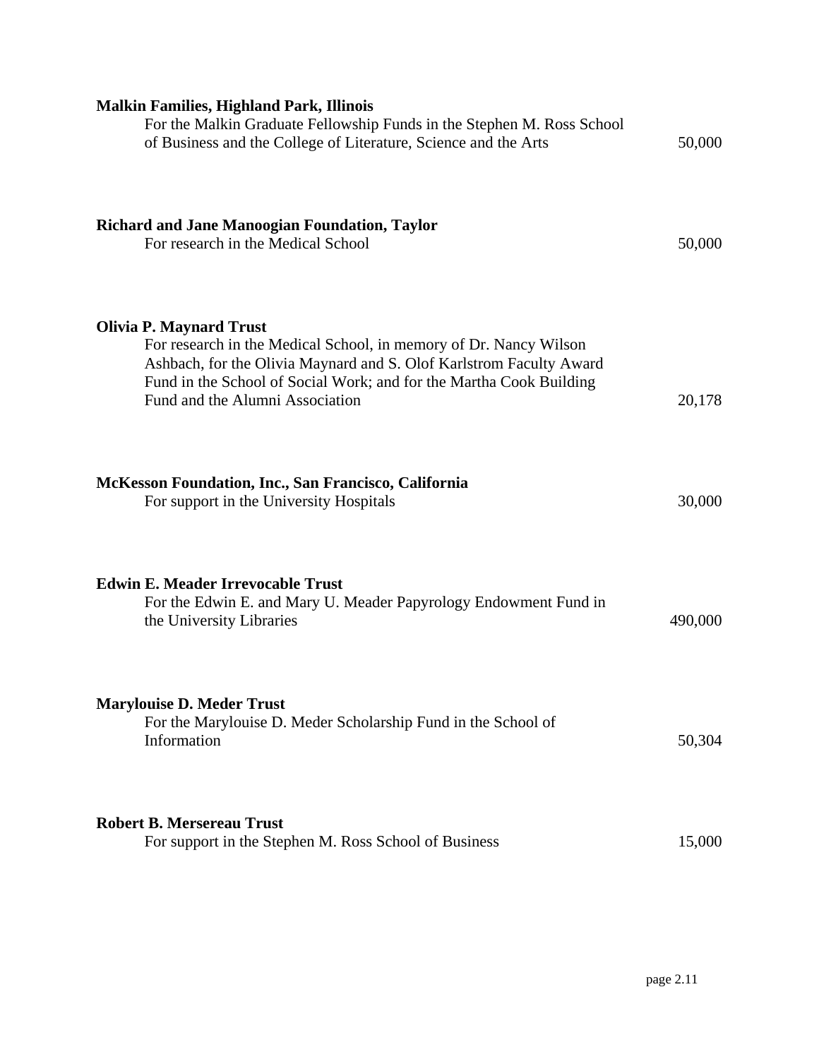| <b>Malkin Families, Highland Park, Illinois</b><br>For the Malkin Graduate Fellowship Funds in the Stephen M. Ross School<br>of Business and the College of Literature, Science and the Arts                                                                                         | 50,000  |
|--------------------------------------------------------------------------------------------------------------------------------------------------------------------------------------------------------------------------------------------------------------------------------------|---------|
| <b>Richard and Jane Manoogian Foundation, Taylor</b><br>For research in the Medical School                                                                                                                                                                                           | 50,000  |
| <b>Olivia P. Maynard Trust</b><br>For research in the Medical School, in memory of Dr. Nancy Wilson<br>Ashbach, for the Olivia Maynard and S. Olof Karlstrom Faculty Award<br>Fund in the School of Social Work; and for the Martha Cook Building<br>Fund and the Alumni Association | 20,178  |
| McKesson Foundation, Inc., San Francisco, California<br>For support in the University Hospitals                                                                                                                                                                                      | 30,000  |
| <b>Edwin E. Meader Irrevocable Trust</b><br>For the Edwin E. and Mary U. Meader Papyrology Endowment Fund in<br>the University Libraries                                                                                                                                             | 490,000 |
| <b>Marylouise D. Meder Trust</b><br>For the Marylouise D. Meder Scholarship Fund in the School of<br>Information                                                                                                                                                                     | 50,304  |
| <b>Robert B. Mersereau Trust</b><br>For support in the Stephen M. Ross School of Business                                                                                                                                                                                            | 15,000  |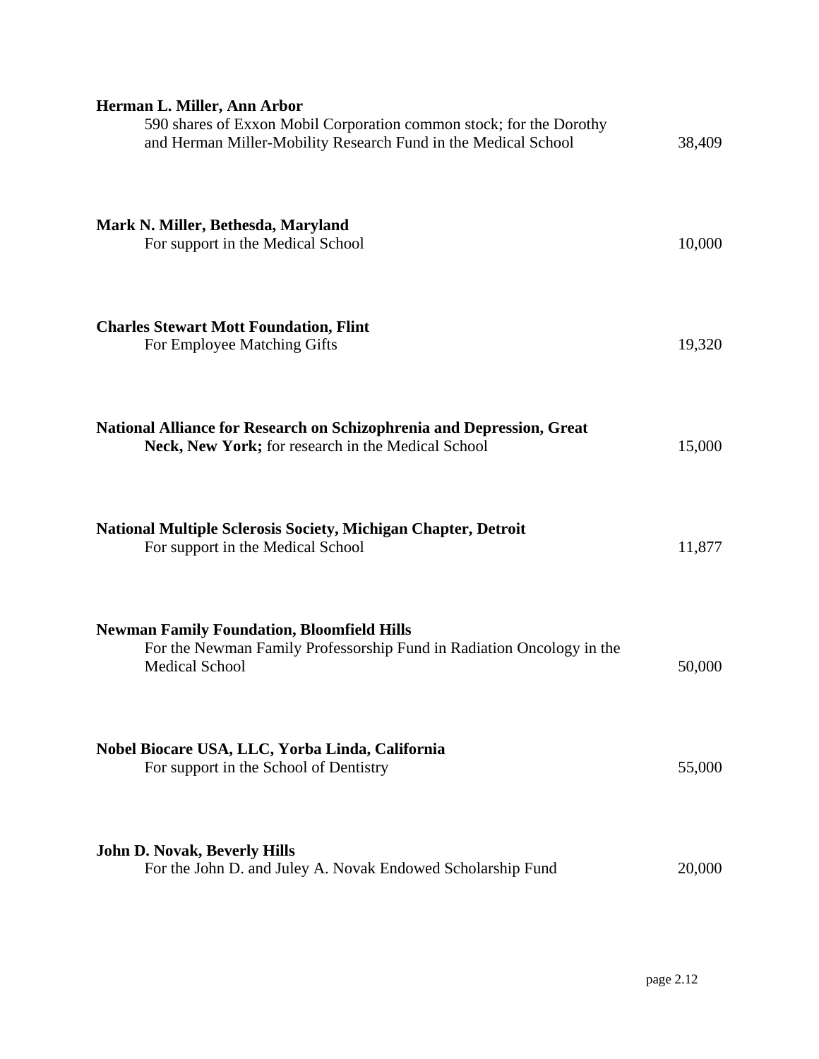| Herman L. Miller, Ann Arbor<br>590 shares of Exxon Mobil Corporation common stock; for the Dorothy<br>and Herman Miller-Mobility Research Fund in the Medical School | 38,409 |
|----------------------------------------------------------------------------------------------------------------------------------------------------------------------|--------|
| Mark N. Miller, Bethesda, Maryland<br>For support in the Medical School                                                                                              | 10,000 |
| <b>Charles Stewart Mott Foundation, Flint</b><br>For Employee Matching Gifts                                                                                         | 19,320 |
| National Alliance for Research on Schizophrenia and Depression, Great<br>Neck, New York; for research in the Medical School                                          | 15,000 |
| <b>National Multiple Sclerosis Society, Michigan Chapter, Detroit</b><br>For support in the Medical School                                                           | 11,877 |
| <b>Newman Family Foundation, Bloomfield Hills</b><br>For the Newman Family Professorship Fund in Radiation Oncology in the<br><b>Medical School</b>                  | 50,000 |
| Nobel Biocare USA, LLC, Yorba Linda, California<br>For support in the School of Dentistry                                                                            | 55,000 |
| <b>John D. Novak, Beverly Hills</b><br>For the John D. and Juley A. Novak Endowed Scholarship Fund                                                                   | 20,000 |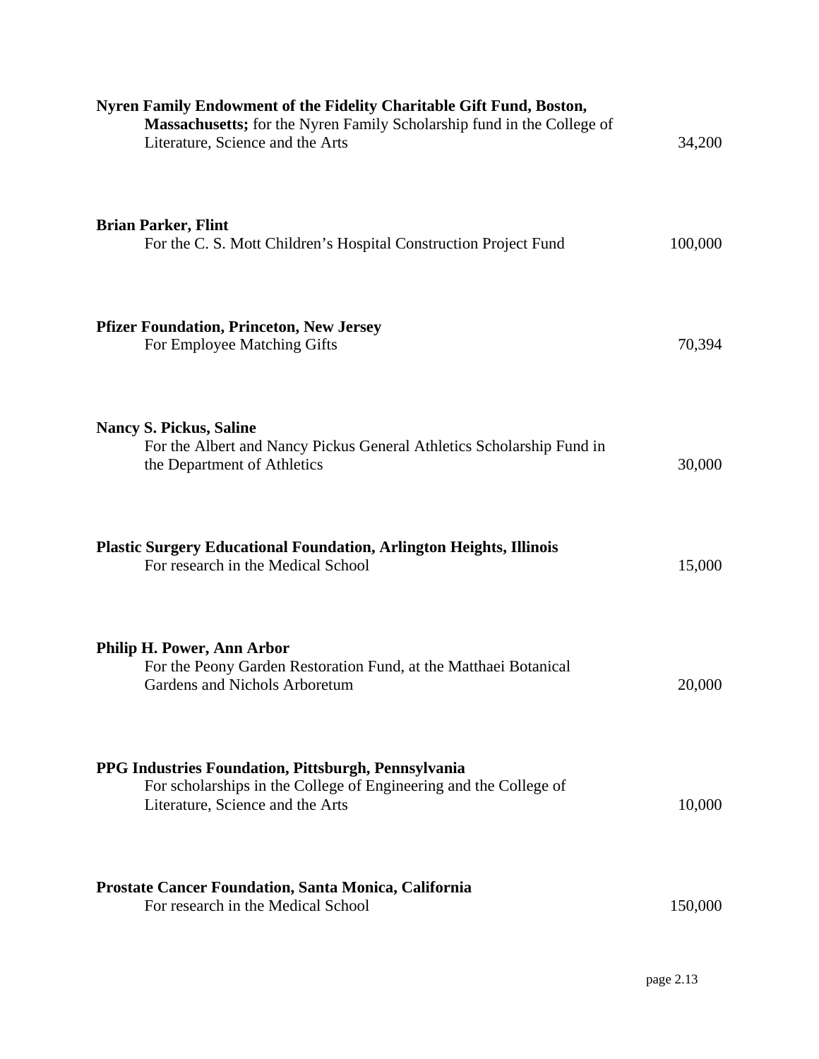| Nyren Family Endowment of the Fidelity Charitable Gift Fund, Boston,<br>Massachusetts; for the Nyren Family Scholarship fund in the College of<br>Literature, Science and the Arts | 34,200  |
|------------------------------------------------------------------------------------------------------------------------------------------------------------------------------------|---------|
| <b>Brian Parker, Flint</b><br>For the C. S. Mott Children's Hospital Construction Project Fund                                                                                     | 100,000 |
| <b>Pfizer Foundation, Princeton, New Jersey</b><br>For Employee Matching Gifts                                                                                                     | 70,394  |
| <b>Nancy S. Pickus, Saline</b><br>For the Albert and Nancy Pickus General Athletics Scholarship Fund in<br>the Department of Athletics                                             | 30,000  |
| <b>Plastic Surgery Educational Foundation, Arlington Heights, Illinois</b><br>For research in the Medical School                                                                   | 15,000  |
| Philip H. Power, Ann Arbor<br>For the Peony Garden Restoration Fund, at the Matthaei Botanical<br>Gardens and Nichols Arboretum                                                    | 20,000  |
| PPG Industries Foundation, Pittsburgh, Pennsylvania<br>For scholarships in the College of Engineering and the College of<br>Literature, Science and the Arts                       | 10,000  |
| <b>Prostate Cancer Foundation, Santa Monica, California</b><br>For research in the Medical School                                                                                  | 150,000 |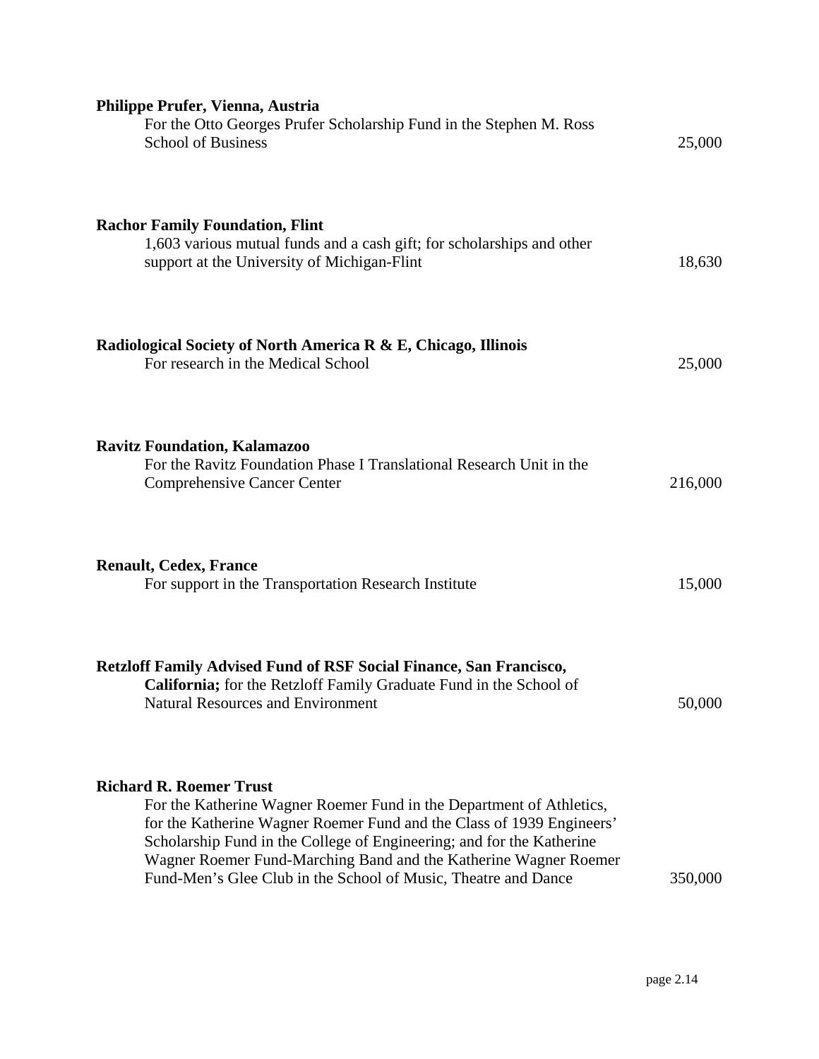| Philippe Prufer, Vienna, Austria<br>For the Otto Georges Prufer Scholarship Fund in the Stephen M. Ross<br><b>School of Business</b>                                                                                                                                                                                                                                                           | 25,000  |
|------------------------------------------------------------------------------------------------------------------------------------------------------------------------------------------------------------------------------------------------------------------------------------------------------------------------------------------------------------------------------------------------|---------|
| <b>Rachor Family Foundation, Flint</b><br>1,603 various mutual funds and a cash gift; for scholarships and other<br>support at the University of Michigan-Flint                                                                                                                                                                                                                                | 18,630  |
| Radiological Society of North America R & E, Chicago, Illinois<br>For research in the Medical School                                                                                                                                                                                                                                                                                           | 25,000  |
| <b>Ravitz Foundation, Kalamazoo</b><br>For the Ravitz Foundation Phase I Translational Research Unit in the<br><b>Comprehensive Cancer Center</b>                                                                                                                                                                                                                                              | 216,000 |
| <b>Renault, Cedex, France</b><br>For support in the Transportation Research Institute                                                                                                                                                                                                                                                                                                          | 15,000  |
| <b>Retzloff Family Advised Fund of RSF Social Finance, San Francisco,</b><br>California; for the Retzloff Family Graduate Fund in the School of<br><b>Natural Resources and Environment</b>                                                                                                                                                                                                    | 50,000  |
| <b>Richard R. Roemer Trust</b><br>For the Katherine Wagner Roemer Fund in the Department of Athletics,<br>for the Katherine Wagner Roemer Fund and the Class of 1939 Engineers'<br>Scholarship Fund in the College of Engineering; and for the Katherine<br>Wagner Roemer Fund-Marching Band and the Katherine Wagner Roemer<br>Fund-Men's Glee Club in the School of Music, Theatre and Dance | 350,000 |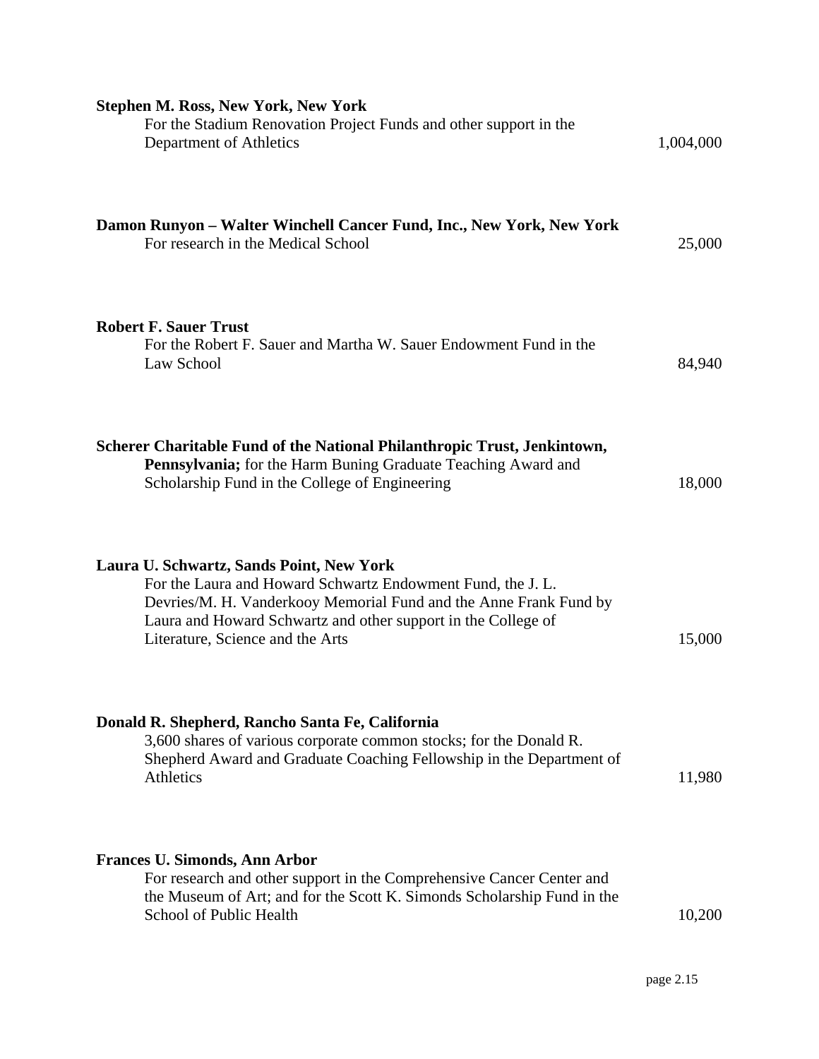| <b>Stephen M. Ross, New York, New York</b><br>For the Stadium Renovation Project Funds and other support in the<br>Department of Athletics                                                                                                                                        | 1,004,000 |
|-----------------------------------------------------------------------------------------------------------------------------------------------------------------------------------------------------------------------------------------------------------------------------------|-----------|
| Damon Runyon – Walter Winchell Cancer Fund, Inc., New York, New York<br>For research in the Medical School                                                                                                                                                                        | 25,000    |
| <b>Robert F. Sauer Trust</b><br>For the Robert F. Sauer and Martha W. Sauer Endowment Fund in the<br>Law School                                                                                                                                                                   | 84,940    |
| Scherer Charitable Fund of the National Philanthropic Trust, Jenkintown,<br>Pennsylvania; for the Harm Buning Graduate Teaching Award and<br>Scholarship Fund in the College of Engineering                                                                                       | 18,000    |
| Laura U. Schwartz, Sands Point, New York<br>For the Laura and Howard Schwartz Endowment Fund, the J. L.<br>Devries/M. H. Vanderkooy Memorial Fund and the Anne Frank Fund by<br>Laura and Howard Schwartz and other support in the College of<br>Literature, Science and the Arts | 15,000    |
| Donald R. Shepherd, Rancho Santa Fe, California<br>3,600 shares of various corporate common stocks; for the Donald R.<br>Shepherd Award and Graduate Coaching Fellowship in the Department of<br><b>Athletics</b>                                                                 | 11,980    |
| <b>Frances U. Simonds, Ann Arbor</b><br>For research and other support in the Comprehensive Cancer Center and<br>the Museum of Art; and for the Scott K. Simonds Scholarship Fund in the<br>School of Public Health                                                               | 10,200    |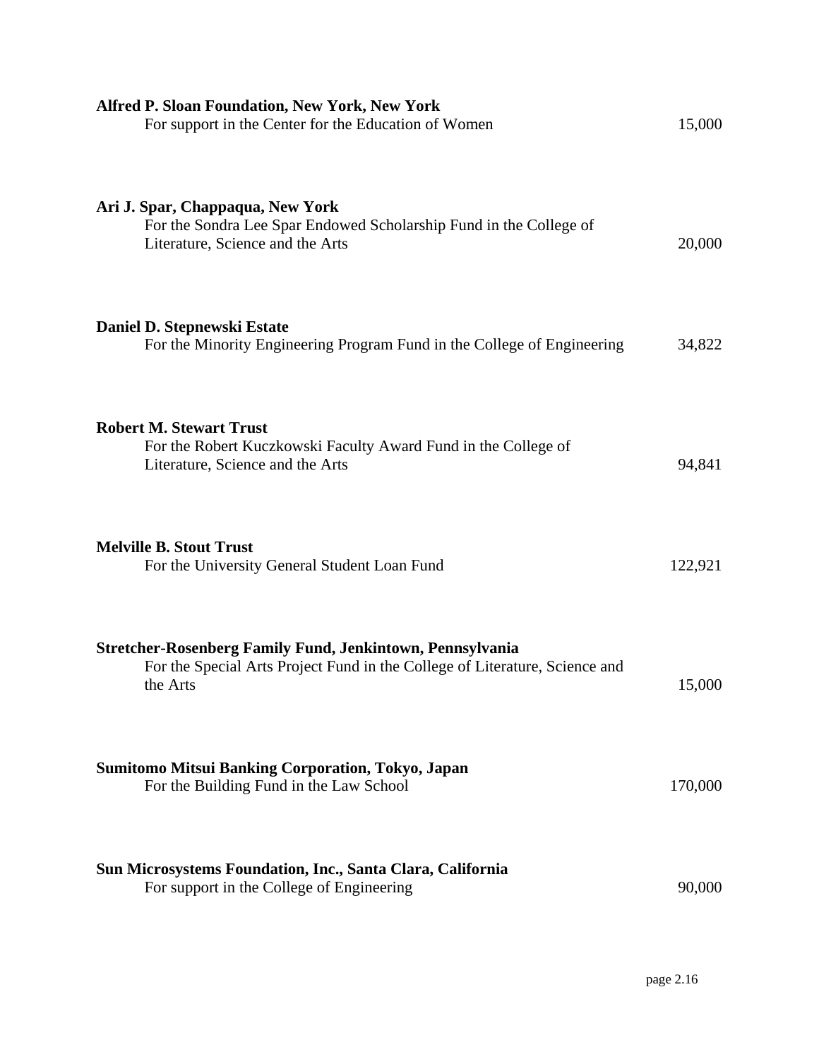| <b>Alfred P. Sloan Foundation, New York, New York</b><br>For support in the Center for the Education of Women                                        | 15,000  |
|------------------------------------------------------------------------------------------------------------------------------------------------------|---------|
| Ari J. Spar, Chappaqua, New York<br>For the Sondra Lee Spar Endowed Scholarship Fund in the College of<br>Literature, Science and the Arts           | 20,000  |
| Daniel D. Stepnewski Estate<br>For the Minority Engineering Program Fund in the College of Engineering                                               | 34,822  |
| <b>Robert M. Stewart Trust</b><br>For the Robert Kuczkowski Faculty Award Fund in the College of<br>Literature, Science and the Arts                 | 94,841  |
| <b>Melville B. Stout Trust</b><br>For the University General Student Loan Fund                                                                       | 122,921 |
| Stretcher-Rosenberg Family Fund, Jenkintown, Pennsylvania<br>For the Special Arts Project Fund in the College of Literature, Science and<br>the Arts | 15,000  |
| <b>Sumitomo Mitsui Banking Corporation, Tokyo, Japan</b><br>For the Building Fund in the Law School                                                  | 170,000 |
| Sun Microsystems Foundation, Inc., Santa Clara, California<br>For support in the College of Engineering                                              | 90,000  |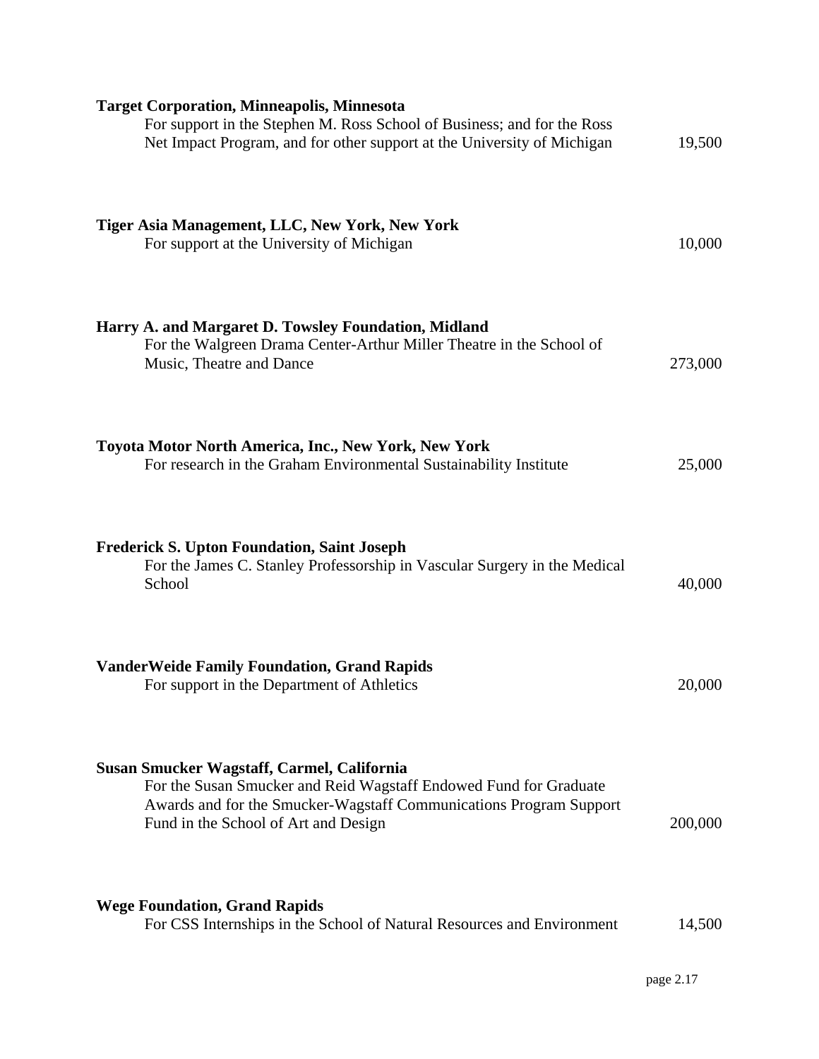| <b>Target Corporation, Minneapolis, Minnesota</b><br>For support in the Stephen M. Ross School of Business; and for the Ross<br>Net Impact Program, and for other support at the University of Michigan                       | 19,500  |
|-------------------------------------------------------------------------------------------------------------------------------------------------------------------------------------------------------------------------------|---------|
| Tiger Asia Management, LLC, New York, New York<br>For support at the University of Michigan                                                                                                                                   | 10,000  |
| Harry A. and Margaret D. Towsley Foundation, Midland<br>For the Walgreen Drama Center-Arthur Miller Theatre in the School of<br>Music, Theatre and Dance                                                                      | 273,000 |
| Toyota Motor North America, Inc., New York, New York<br>For research in the Graham Environmental Sustainability Institute                                                                                                     | 25,000  |
| <b>Frederick S. Upton Foundation, Saint Joseph</b><br>For the James C. Stanley Professorship in Vascular Surgery in the Medical<br>School                                                                                     | 40,000  |
| <b>VanderWeide Family Foundation, Grand Rapids</b><br>For support in the Department of Athletics                                                                                                                              | 20,000  |
| Susan Smucker Wagstaff, Carmel, California<br>For the Susan Smucker and Reid Wagstaff Endowed Fund for Graduate<br>Awards and for the Smucker-Wagstaff Communications Program Support<br>Fund in the School of Art and Design | 200,000 |
| <b>Wege Foundation, Grand Rapids</b><br>For CSS Internships in the School of Natural Resources and Environment                                                                                                                | 14,500  |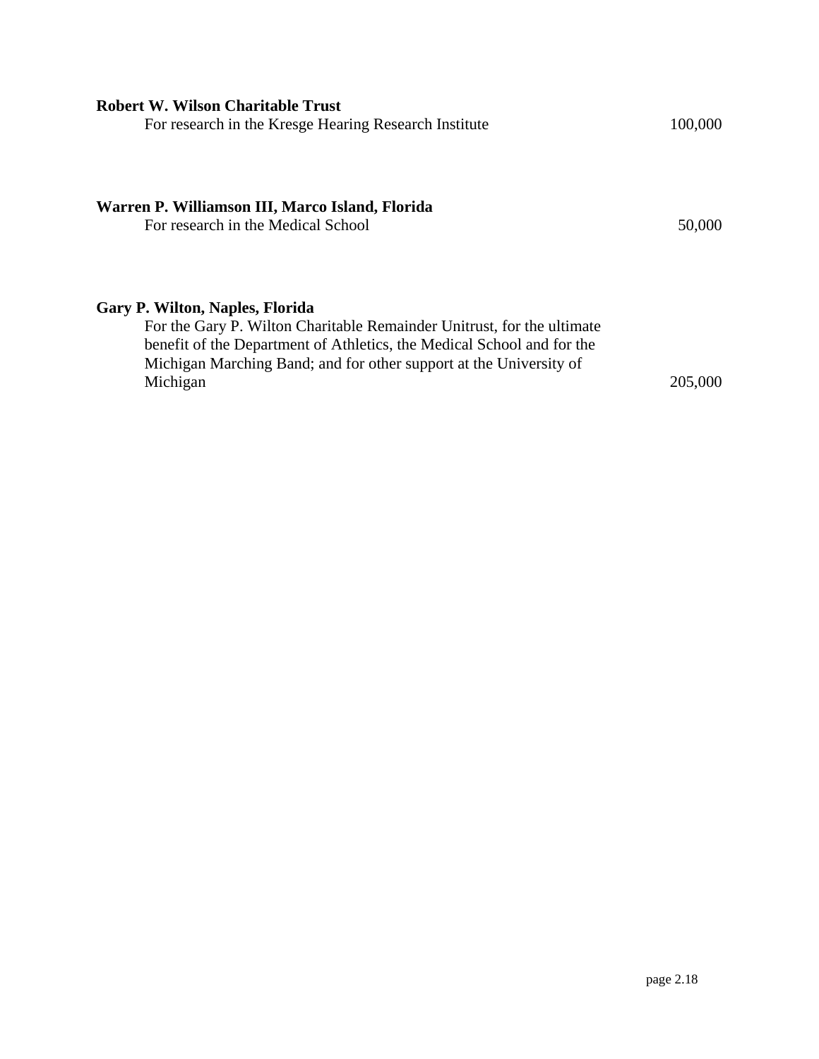| <b>Robert W. Wilson Charitable Trust</b><br>For research in the Kresge Hearing Research Institute                                                                                                                                                                            | 100,000 |
|------------------------------------------------------------------------------------------------------------------------------------------------------------------------------------------------------------------------------------------------------------------------------|---------|
| Warren P. Williamson III, Marco Island, Florida<br>For research in the Medical School                                                                                                                                                                                        | 50,000  |
| <b>Gary P. Wilton, Naples, Florida</b><br>For the Gary P. Wilton Charitable Remainder Unitrust, for the ultimate<br>benefit of the Department of Athletics, the Medical School and for the<br>Michigan Marching Band; and for other support at the University of<br>Michigan | 205,000 |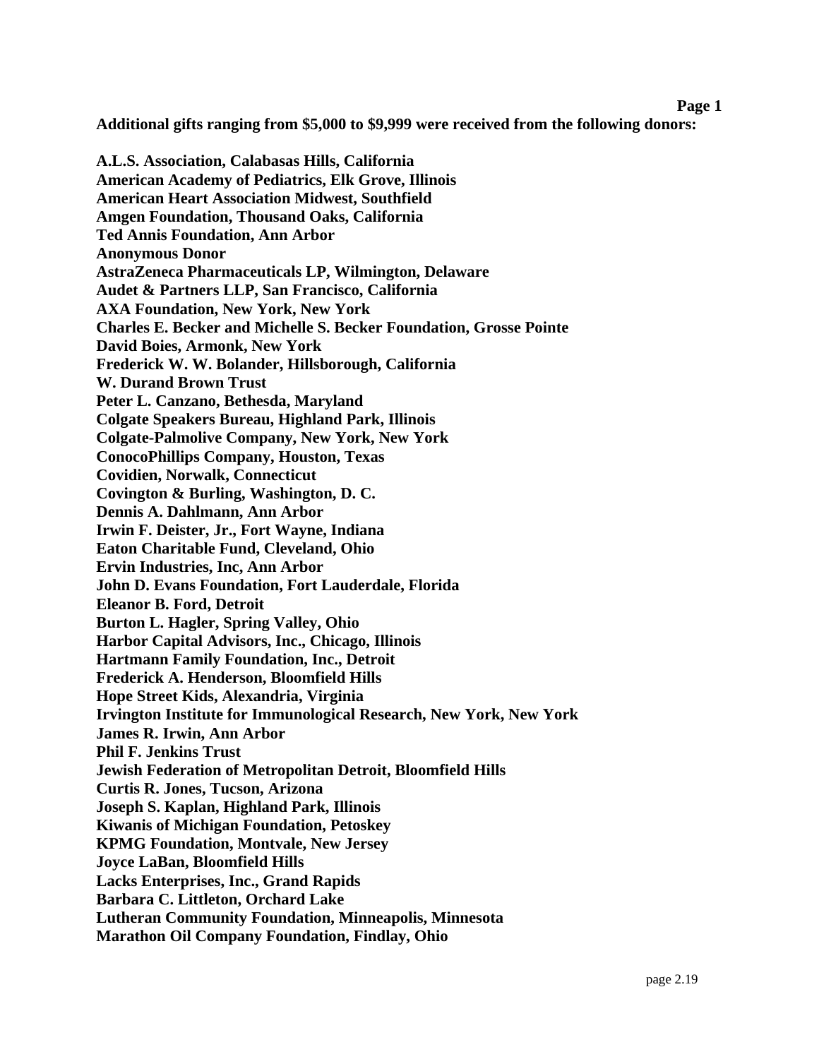### **Page 1**

**Additional gifts ranging from \$5,000 to \$9,999 were received from the following donors:** 

**A.L.S. Association, Calabasas Hills, California American Academy of Pediatrics, Elk Grove, Illinois American Heart Association Midwest, Southfield Amgen Foundation, Thousand Oaks, California Ted Annis Foundation, Ann Arbor Anonymous Donor AstraZeneca Pharmaceuticals LP, Wilmington, Delaware Audet & Partners LLP, San Francisco, California AXA Foundation, New York, New York Charles E. Becker and Michelle S. Becker Foundation, Grosse Pointe David Boies, Armonk, New York Frederick W. W. Bolander, Hillsborough, California W. Durand Brown Trust Peter L. Canzano, Bethesda, Maryland Colgate Speakers Bureau, Highland Park, Illinois Colgate-Palmolive Company, New York, New York ConocoPhillips Company, Houston, Texas Covidien, Norwalk, Connecticut Covington & Burling, Washington, D. C. Dennis A. Dahlmann, Ann Arbor Irwin F. Deister, Jr., Fort Wayne, Indiana Eaton Charitable Fund, Cleveland, Ohio Ervin Industries, Inc, Ann Arbor John D. Evans Foundation, Fort Lauderdale, Florida Eleanor B. Ford, Detroit Burton L. Hagler, Spring Valley, Ohio Harbor Capital Advisors, Inc., Chicago, Illinois Hartmann Family Foundation, Inc., Detroit Frederick A. Henderson, Bloomfield Hills Hope Street Kids, Alexandria, Virginia Irvington Institute for Immunological Research, New York, New York James R. Irwin, Ann Arbor Phil F. Jenkins Trust Jewish Federation of Metropolitan Detroit, Bloomfield Hills Curtis R. Jones, Tucson, Arizona Joseph S. Kaplan, Highland Park, Illinois Kiwanis of Michigan Foundation, Petoskey KPMG Foundation, Montvale, New Jersey Joyce LaBan, Bloomfield Hills Lacks Enterprises, Inc., Grand Rapids Barbara C. Littleton, Orchard Lake Lutheran Community Foundation, Minneapolis, Minnesota Marathon Oil Company Foundation, Findlay, Ohio**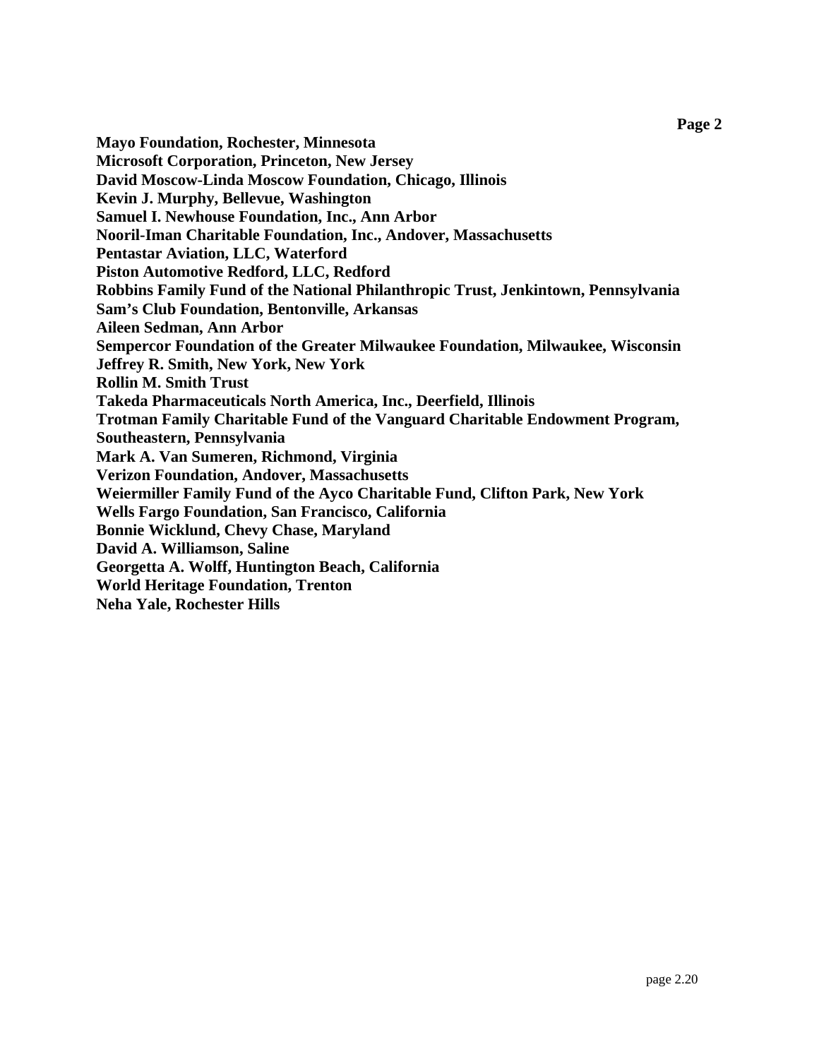**Mayo Foundation, Rochester, Minnesota Microsoft Corporation, Princeton, New Jersey David Moscow-Linda Moscow Foundation, Chicago, Illinois Kevin J. Murphy, Bellevue, Washington Samuel I. Newhouse Foundation, Inc., Ann Arbor Nooril-Iman Charitable Foundation, Inc., Andover, Massachusetts Pentastar Aviation, LLC, Waterford Piston Automotive Redford, LLC, Redford Robbins Family Fund of the National Philanthropic Trust, Jenkintown, Pennsylvania Sam's Club Foundation, Bentonville, Arkansas Aileen Sedman, Ann Arbor Sempercor Foundation of the Greater Milwaukee Foundation, Milwaukee, Wisconsin Jeffrey R. Smith, New York, New York Rollin M. Smith Trust Takeda Pharmaceuticals North America, Inc., Deerfield, Illinois Trotman Family Charitable Fund of the Vanguard Charitable Endowment Program, Southeastern, Pennsylvania Mark A. Van Sumeren, Richmond, Virginia Verizon Foundation, Andover, Massachusetts Weiermiller Family Fund of the Ayco Charitable Fund, Clifton Park, New York Wells Fargo Foundation, San Francisco, California Bonnie Wicklund, Chevy Chase, Maryland David A. Williamson, Saline Georgetta A. Wolff, Huntington Beach, California World Heritage Foundation, Trenton Neha Yale, Rochester Hills**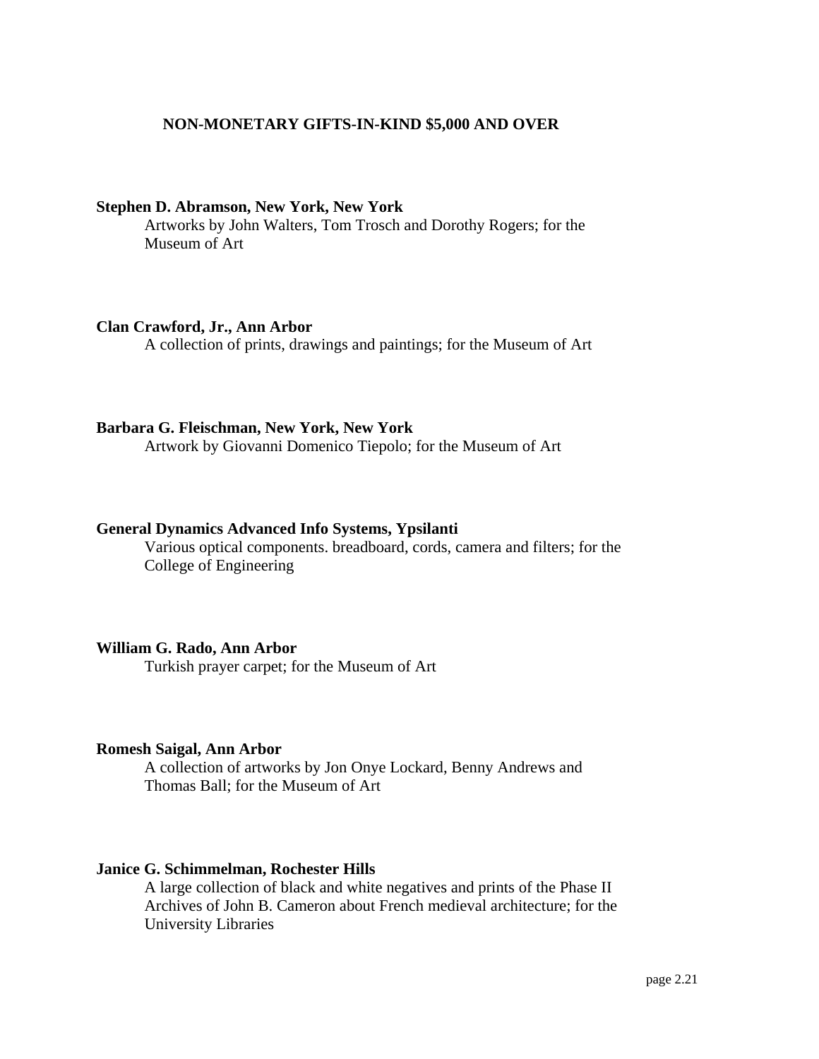## **NON-MONETARY GIFTS-IN-KIND \$5,000 AND OVER**

## **Stephen D. Abramson, New York, New York**

Artworks by John Walters, Tom Trosch and Dorothy Rogers; for the Museum of Art

## **Clan Crawford, Jr., Ann Arbor**

A collection of prints, drawings and paintings; for the Museum of Art

## **Barbara G. Fleischman, New York, New York**

Artwork by Giovanni Domenico Tiepolo; for the Museum of Art

## **General Dynamics Advanced Info Systems, Ypsilanti**

Various optical components. breadboard, cords, camera and filters; for the College of Engineering

## **William G. Rado, Ann Arbor**

Turkish prayer carpet; for the Museum of Art

## **Romesh Saigal, Ann Arbor**

A collection of artworks by Jon Onye Lockard, Benny Andrews and Thomas Ball; for the Museum of Art

## **Janice G. Schimmelman, Rochester Hills**

A large collection of black and white negatives and prints of the Phase II Archives of John B. Cameron about French medieval architecture; for the University Libraries